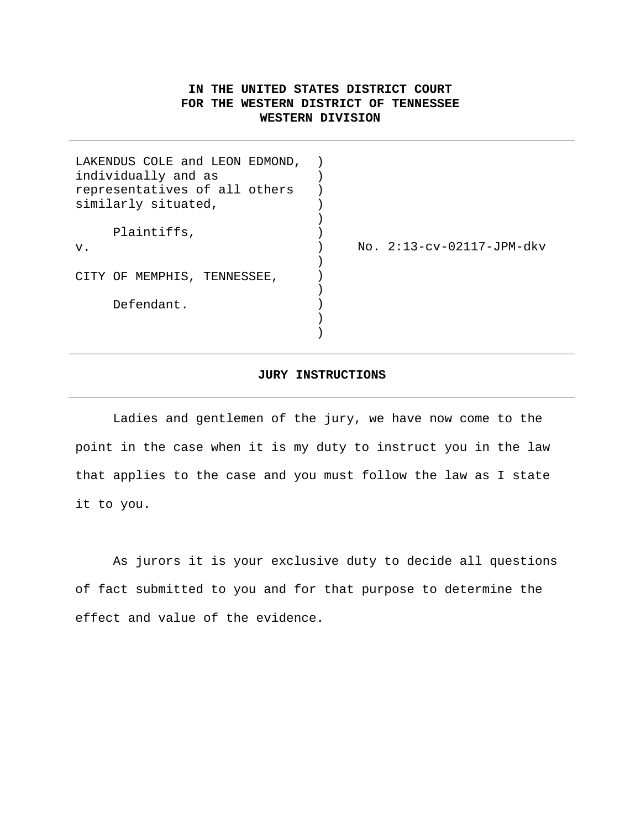# **IN THE UNITED STATES DISTRICT COURT FOR THE WESTERN DISTRICT OF TENNESSEE WESTERN DIVISION**

| LAKENDUS COLE and LEON EDMOND,<br>individually and as<br>representatives of all others |                             |
|----------------------------------------------------------------------------------------|-----------------------------|
| similarly situated,                                                                    |                             |
| Plaintiffs,                                                                            |                             |
| v.                                                                                     | $No. 2:13-cv-02117-JPM-dkv$ |
|                                                                                        |                             |
| CITY OF MEMPHIS, TENNESSEE,                                                            |                             |
|                                                                                        |                             |
| Defendant.                                                                             |                             |
|                                                                                        |                             |
|                                                                                        |                             |

## **JURY INSTRUCTIONS**

Ladies and gentlemen of the jury, we have now come to the point in the case when it is my duty to instruct you in the law that applies to the case and you must follow the law as I state it to you.

As jurors it is your exclusive duty to decide all questions of fact submitted to you and for that purpose to determine the effect and value of the evidence.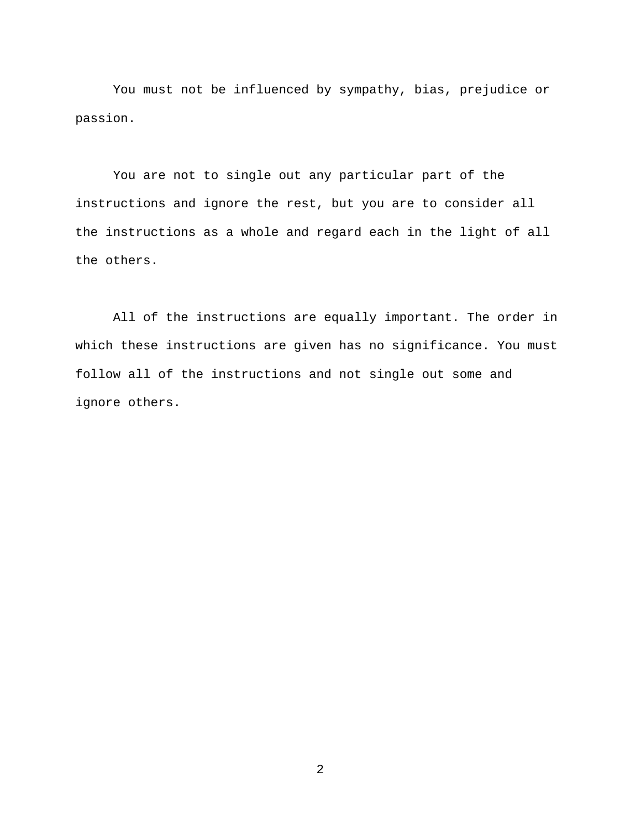You must not be influenced by sympathy, bias, prejudice or passion.

You are not to single out any particular part of the instructions and ignore the rest, but you are to consider all the instructions as a whole and regard each in the light of all the others.

All of the instructions are equally important. The order in which these instructions are given has no significance. You must follow all of the instructions and not single out some and ignore others.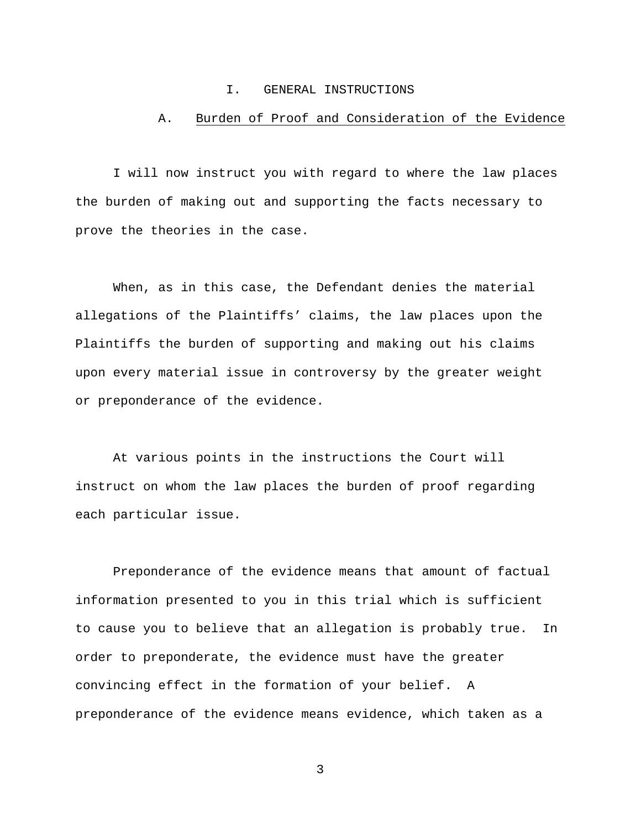### I. GENERAL INSTRUCTIONS

## A. Burden of Proof and Consideration of the Evidence

I will now instruct you with regard to where the law places the burden of making out and supporting the facts necessary to prove the theories in the case.

When, as in this case, the Defendant denies the material allegations of the Plaintiffs' claims, the law places upon the Plaintiffs the burden of supporting and making out his claims upon every material issue in controversy by the greater weight or preponderance of the evidence.

At various points in the instructions the Court will instruct on whom the law places the burden of proof regarding each particular issue.

Preponderance of the evidence means that amount of factual information presented to you in this trial which is sufficient to cause you to believe that an allegation is probably true. In order to preponderate, the evidence must have the greater convincing effect in the formation of your belief. A preponderance of the evidence means evidence, which taken as a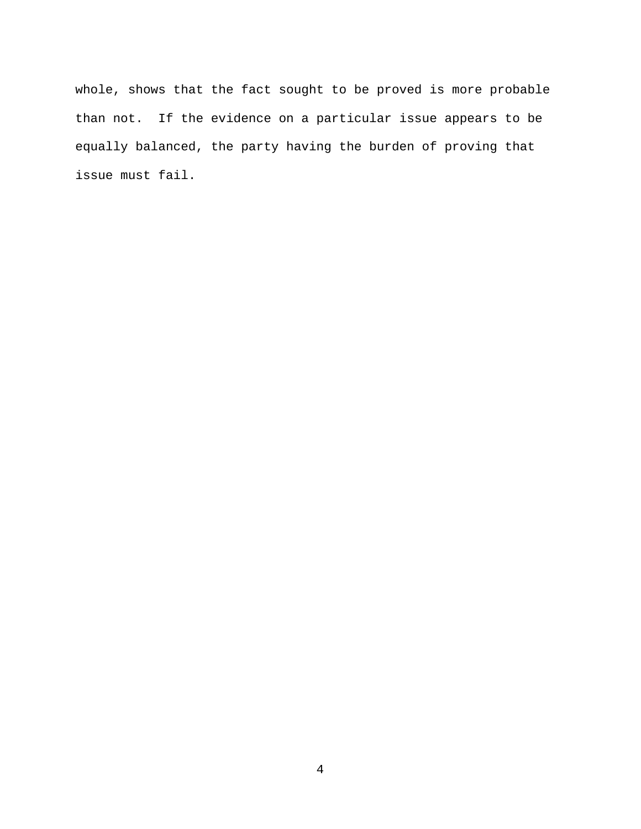whole, shows that the fact sought to be proved is more probable than not. If the evidence on a particular issue appears to be equally balanced, the party having the burden of proving that issue must fail.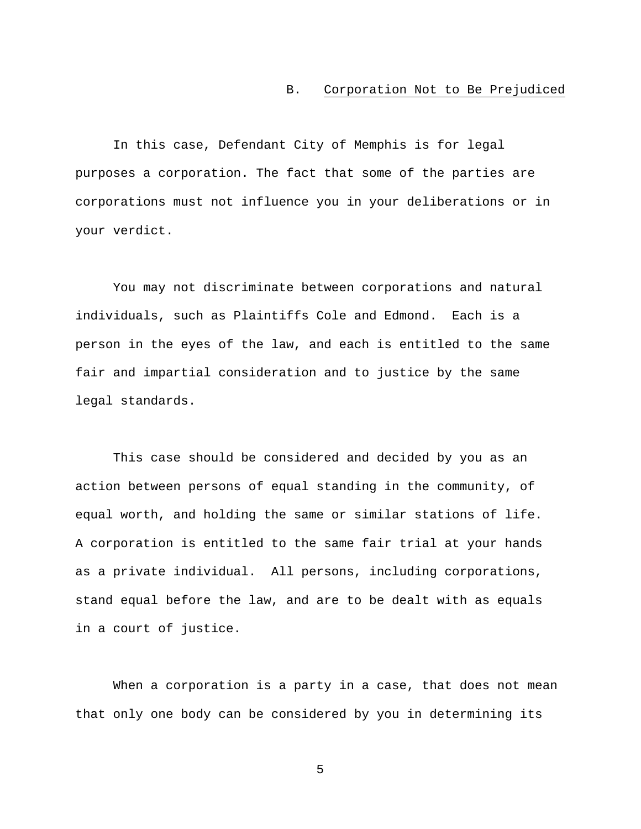### B. Corporation Not to Be Prejudiced

In this case, Defendant City of Memphis is for legal purposes a corporation. The fact that some of the parties are corporations must not influence you in your deliberations or in your verdict.

You may not discriminate between corporations and natural individuals, such as Plaintiffs Cole and Edmond. Each is a person in the eyes of the law, and each is entitled to the same fair and impartial consideration and to justice by the same legal standards.

This case should be considered and decided by you as an action between persons of equal standing in the community, of equal worth, and holding the same or similar stations of life. A corporation is entitled to the same fair trial at your hands as a private individual. All persons, including corporations, stand equal before the law, and are to be dealt with as equals in a court of justice.

When a corporation is a party in a case, that does not mean that only one body can be considered by you in determining its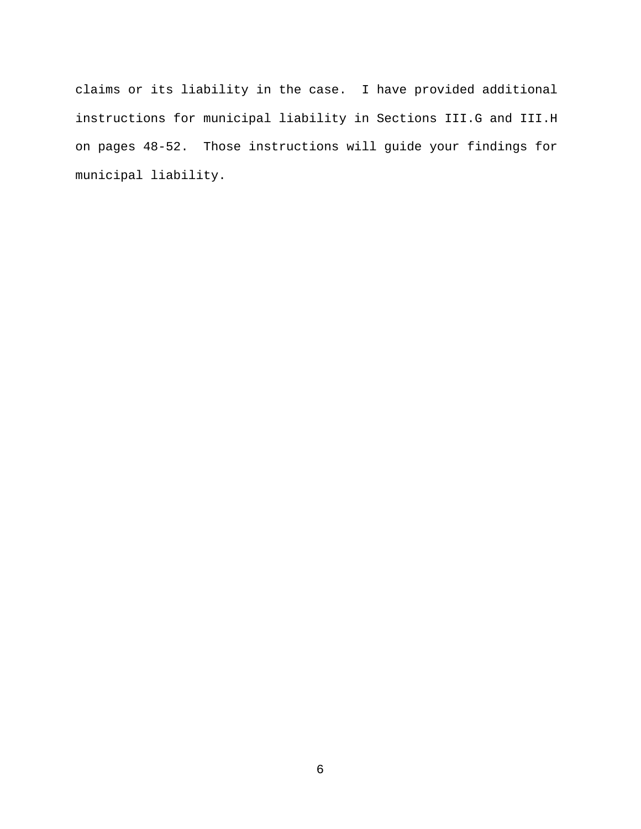claims or its liability in the case. I have provided additional instructions for municipal liability in Sections III.G and III.H on pages 48-52. Those instructions will guide your findings for municipal liability.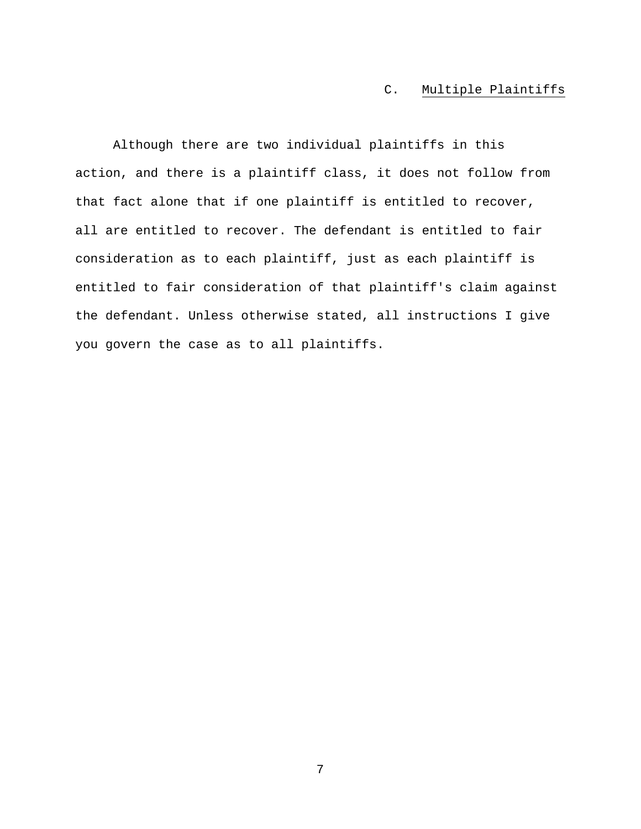# C. Multiple Plaintiffs

Although there are two individual plaintiffs in this action, and there is a plaintiff class, it does not follow from that fact alone that if one plaintiff is entitled to recover, all are entitled to recover. The defendant is entitled to fair consideration as to each plaintiff, just as each plaintiff is entitled to fair consideration of that plaintiff's claim against the defendant. Unless otherwise stated, all instructions I give you govern the case as to all plaintiffs.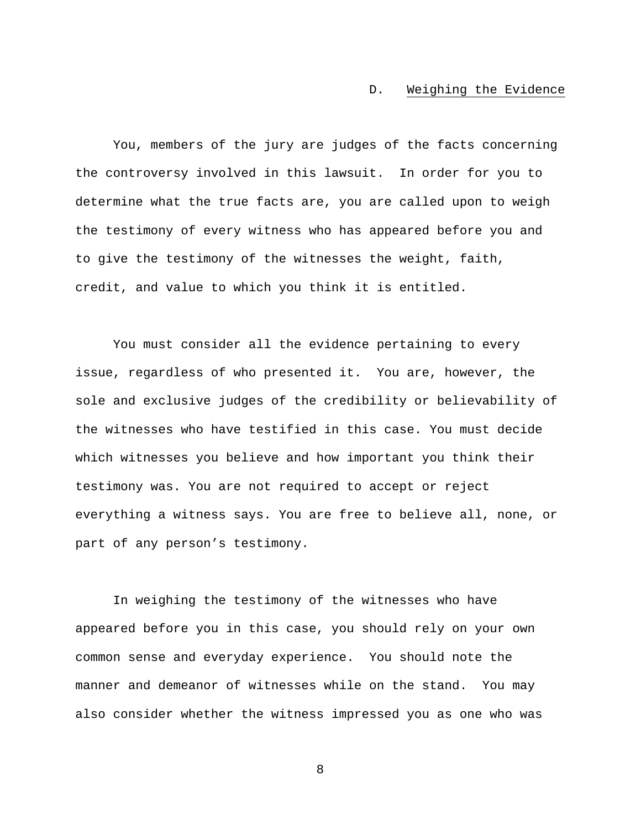### D. Weighing the Evidence

You, members of the jury are judges of the facts concerning the controversy involved in this lawsuit. In order for you to determine what the true facts are, you are called upon to weigh the testimony of every witness who has appeared before you and to give the testimony of the witnesses the weight, faith, credit, and value to which you think it is entitled.

You must consider all the evidence pertaining to every issue, regardless of who presented it. You are, however, the sole and exclusive judges of the credibility or believability of the witnesses who have testified in this case. You must decide which witnesses you believe and how important you think their testimony was. You are not required to accept or reject everything a witness says. You are free to believe all, none, or part of any person's testimony.

In weighing the testimony of the witnesses who have appeared before you in this case, you should rely on your own common sense and everyday experience. You should note the manner and demeanor of witnesses while on the stand. You may also consider whether the witness impressed you as one who was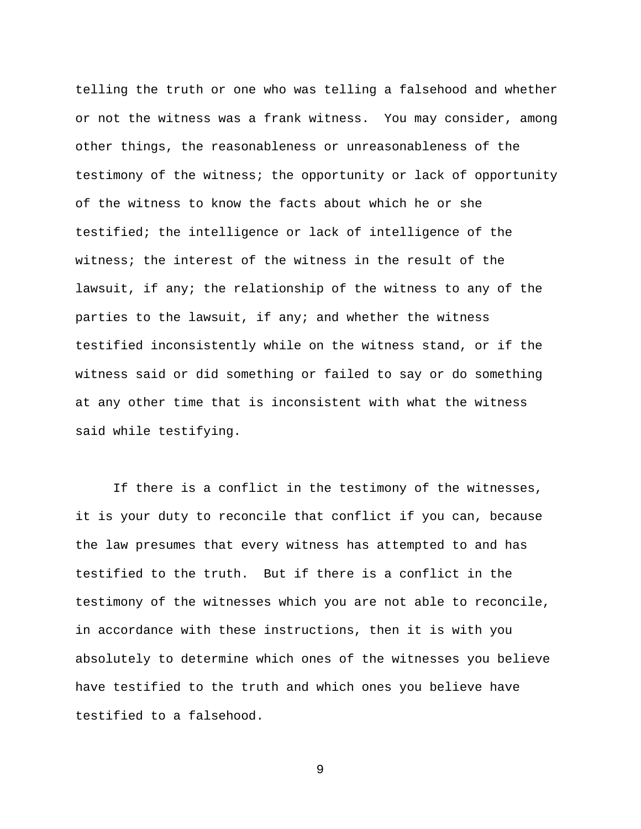telling the truth or one who was telling a falsehood and whether or not the witness was a frank witness. You may consider, among other things, the reasonableness or unreasonableness of the testimony of the witness; the opportunity or lack of opportunity of the witness to know the facts about which he or she testified; the intelligence or lack of intelligence of the witness; the interest of the witness in the result of the lawsuit, if any; the relationship of the witness to any of the parties to the lawsuit, if any; and whether the witness testified inconsistently while on the witness stand, or if the witness said or did something or failed to say or do something at any other time that is inconsistent with what the witness said while testifying.

If there is a conflict in the testimony of the witnesses, it is your duty to reconcile that conflict if you can, because the law presumes that every witness has attempted to and has testified to the truth. But if there is a conflict in the testimony of the witnesses which you are not able to reconcile, in accordance with these instructions, then it is with you absolutely to determine which ones of the witnesses you believe have testified to the truth and which ones you believe have testified to a falsehood.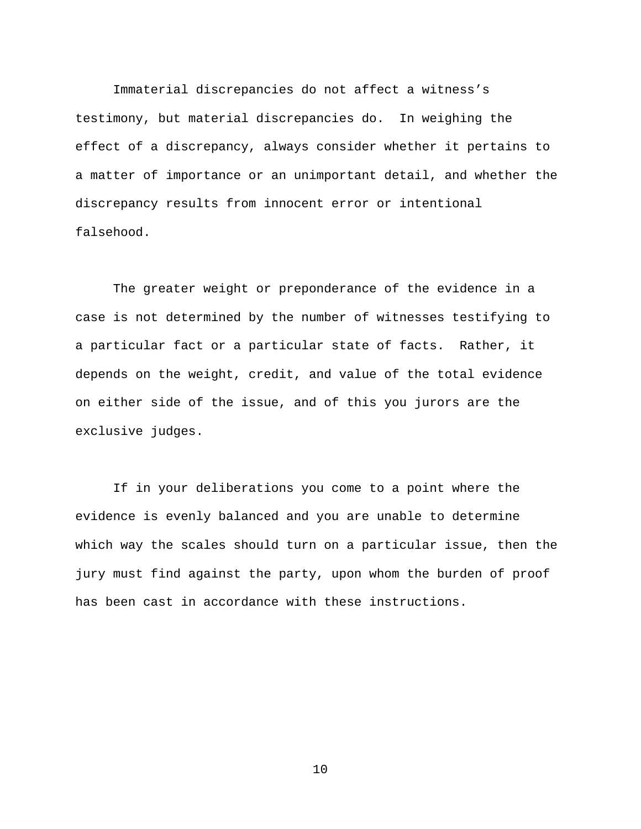Immaterial discrepancies do not affect a witness's testimony, but material discrepancies do. In weighing the effect of a discrepancy, always consider whether it pertains to a matter of importance or an unimportant detail, and whether the discrepancy results from innocent error or intentional falsehood.

The greater weight or preponderance of the evidence in a case is not determined by the number of witnesses testifying to a particular fact or a particular state of facts. Rather, it depends on the weight, credit, and value of the total evidence on either side of the issue, and of this you jurors are the exclusive judges.

If in your deliberations you come to a point where the evidence is evenly balanced and you are unable to determine which way the scales should turn on a particular issue, then the jury must find against the party, upon whom the burden of proof has been cast in accordance with these instructions.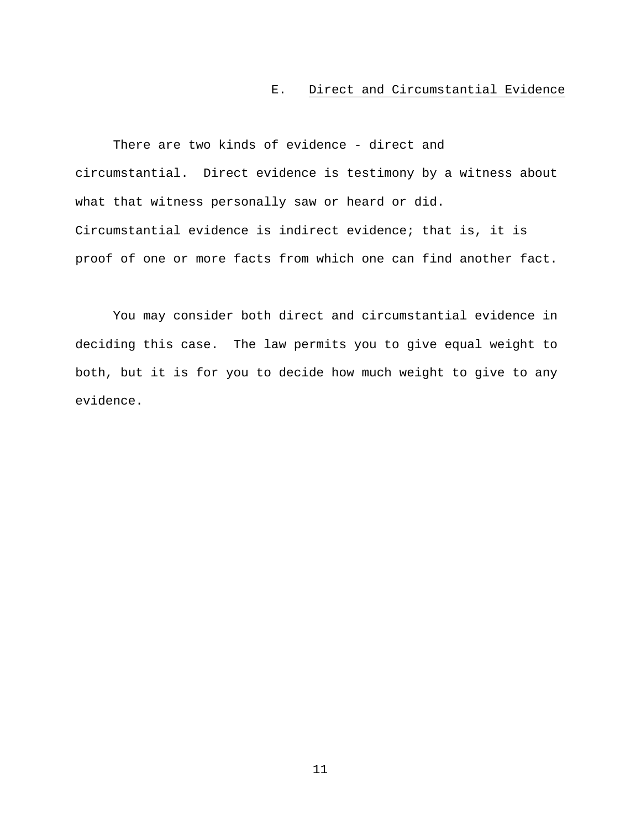## E. Direct and Circumstantial Evidence

There are two kinds of evidence - direct and circumstantial. Direct evidence is testimony by a witness about what that witness personally saw or heard or did. Circumstantial evidence is indirect evidence; that is, it is proof of one or more facts from which one can find another fact.

You may consider both direct and circumstantial evidence in deciding this case. The law permits you to give equal weight to both, but it is for you to decide how much weight to give to any evidence.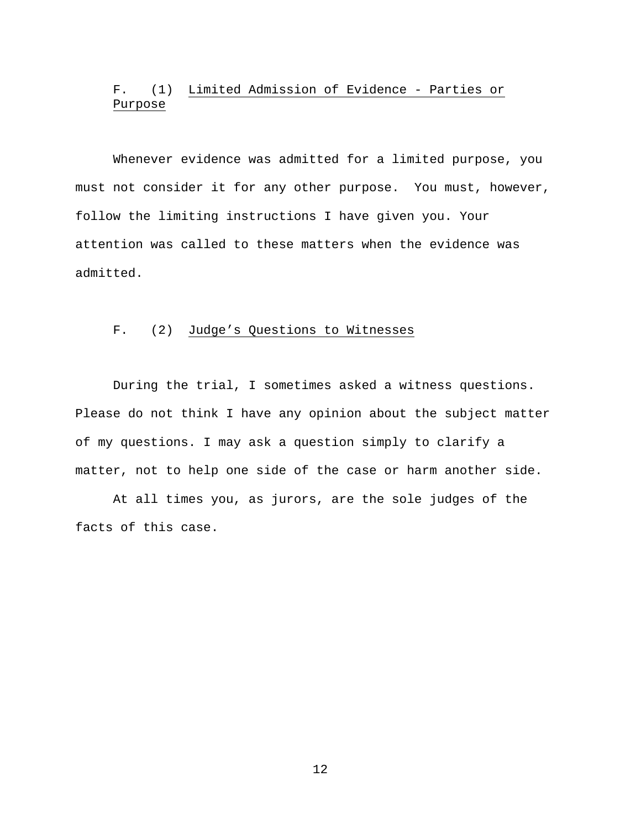# F. (1) Limited Admission of Evidence - Parties or Purpose

Whenever evidence was admitted for a limited purpose, you must not consider it for any other purpose. You must, however, follow the limiting instructions I have given you. Your attention was called to these matters when the evidence was admitted.

# F. (2) Judge's Questions to Witnesses

During the trial, I sometimes asked a witness questions. Please do not think I have any opinion about the subject matter of my questions. I may ask a question simply to clarify a matter, not to help one side of the case or harm another side.

At all times you, as jurors, are the sole judges of the facts of this case.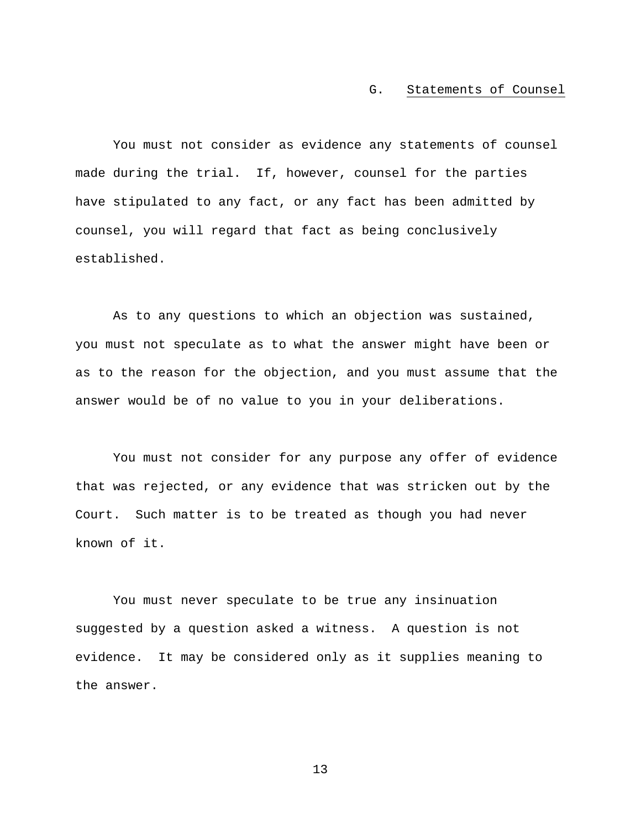#### G. Statements of Counsel

You must not consider as evidence any statements of counsel made during the trial. If, however, counsel for the parties have stipulated to any fact, or any fact has been admitted by counsel, you will regard that fact as being conclusively established.

As to any questions to which an objection was sustained, you must not speculate as to what the answer might have been or as to the reason for the objection, and you must assume that the answer would be of no value to you in your deliberations.

You must not consider for any purpose any offer of evidence that was rejected, or any evidence that was stricken out by the Court. Such matter is to be treated as though you had never known of it.

You must never speculate to be true any insinuation suggested by a question asked a witness. A question is not evidence. It may be considered only as it supplies meaning to the answer.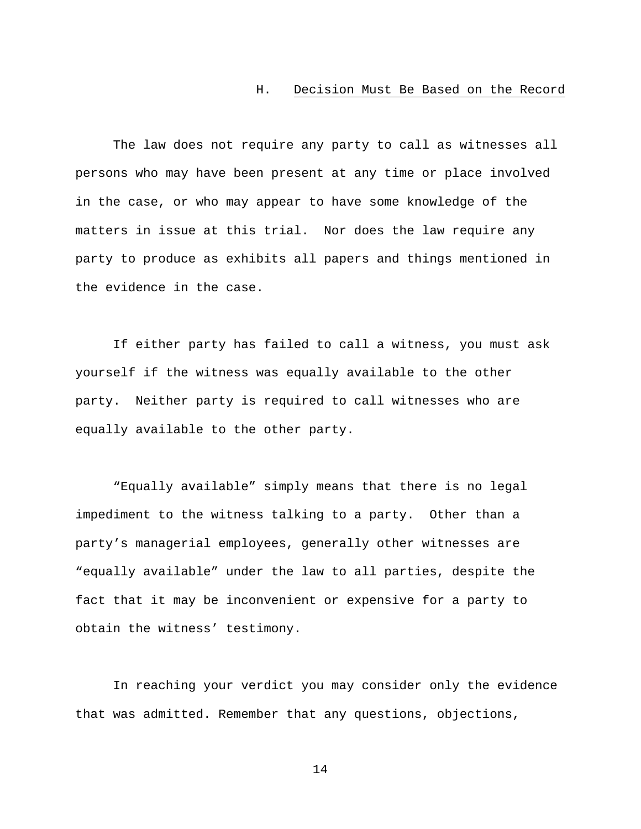### H. Decision Must Be Based on the Record

The law does not require any party to call as witnesses all persons who may have been present at any time or place involved in the case, or who may appear to have some knowledge of the matters in issue at this trial. Nor does the law require any party to produce as exhibits all papers and things mentioned in the evidence in the case.

If either party has failed to call a witness, you must ask yourself if the witness was equally available to the other party. Neither party is required to call witnesses who are equally available to the other party.

"Equally available" simply means that there is no legal impediment to the witness talking to a party. Other than a party's managerial employees, generally other witnesses are "equally available" under the law to all parties, despite the fact that it may be inconvenient or expensive for a party to obtain the witness' testimony.

In reaching your verdict you may consider only the evidence that was admitted. Remember that any questions, objections,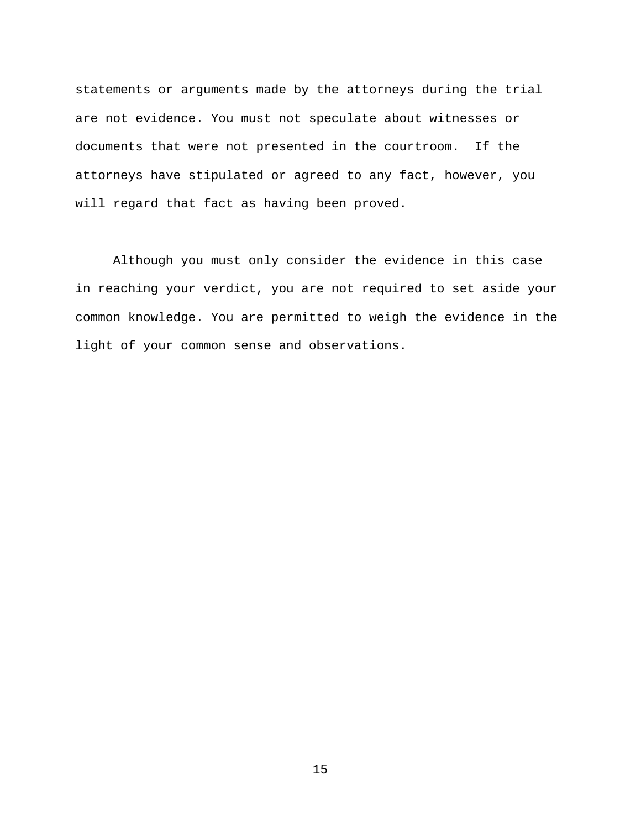statements or arguments made by the attorneys during the trial are not evidence. You must not speculate about witnesses or documents that were not presented in the courtroom. If the attorneys have stipulated or agreed to any fact, however, you will regard that fact as having been proved.

Although you must only consider the evidence in this case in reaching your verdict, you are not required to set aside your common knowledge. You are permitted to weigh the evidence in the light of your common sense and observations.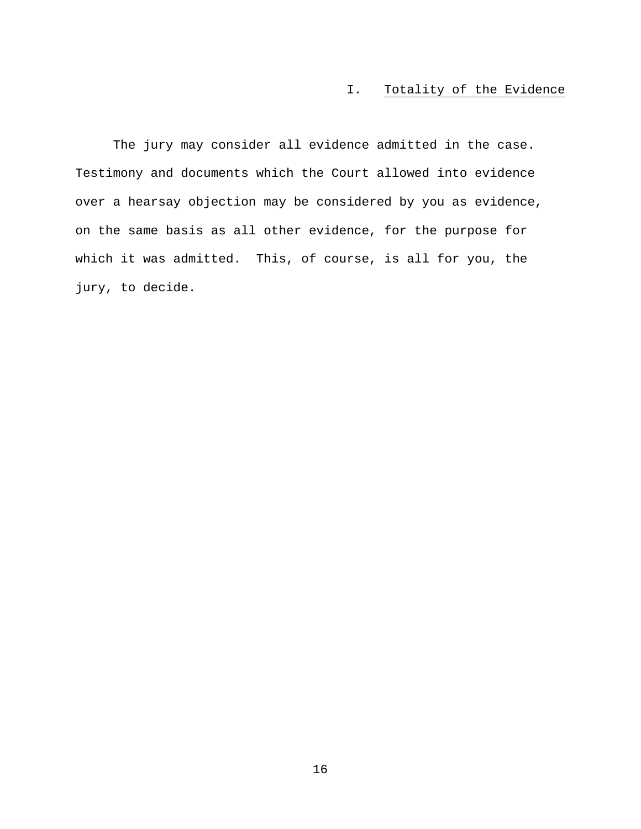# I. Totality of the Evidence

The jury may consider all evidence admitted in the case. Testimony and documents which the Court allowed into evidence over a hearsay objection may be considered by you as evidence, on the same basis as all other evidence, for the purpose for which it was admitted. This, of course, is all for you, the jury, to decide.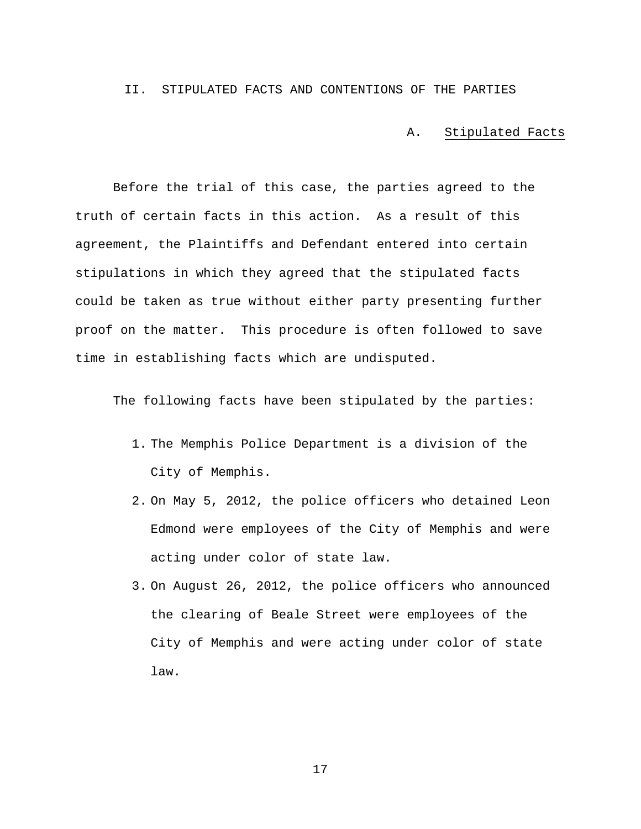### II. STIPULATED FACTS AND CONTENTIONS OF THE PARTIES

A. Stipulated Facts

Before the trial of this case, the parties agreed to the truth of certain facts in this action. As a result of this agreement, the Plaintiffs and Defendant entered into certain stipulations in which they agreed that the stipulated facts could be taken as true without either party presenting further proof on the matter. This procedure is often followed to save time in establishing facts which are undisputed.

The following facts have been stipulated by the parties:

- 1. The Memphis Police Department is a division of the City of Memphis.
- 2. On May 5, 2012, the police officers who detained Leon Edmond were employees of the City of Memphis and were acting under color of state law.
- 3. On August 26, 2012, the police officers who announced the clearing of Beale Street were employees of the City of Memphis and were acting under color of state law.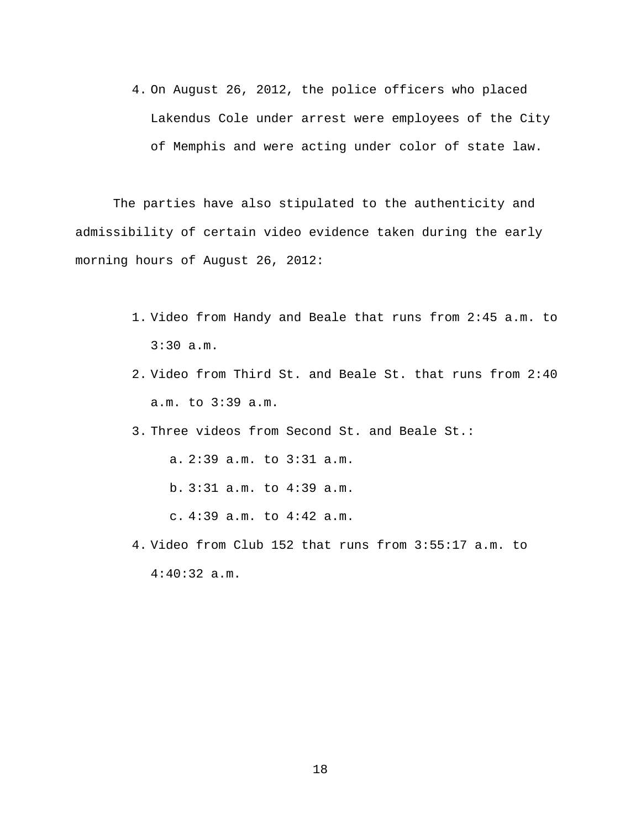4. On August 26, 2012, the police officers who placed Lakendus Cole under arrest were employees of the City of Memphis and were acting under color of state law.

The parties have also stipulated to the authenticity and admissibility of certain video evidence taken during the early morning hours of August 26, 2012:

- 1. Video from Handy and Beale that runs from 2:45 a.m. to 3:30 a.m.
- 2. Video from Third St. and Beale St. that runs from 2:40 a.m. to 3:39 a.m.
- 3. Three videos from Second St. and Beale St.:

a. 2:39 a.m. to 3:31 a.m. b. 3:31 a.m. to 4:39 a.m. c. 4:39 a.m. to 4:42 a.m.

4. Video from Club 152 that runs from 3:55:17 a.m. to 4:40:32 a.m.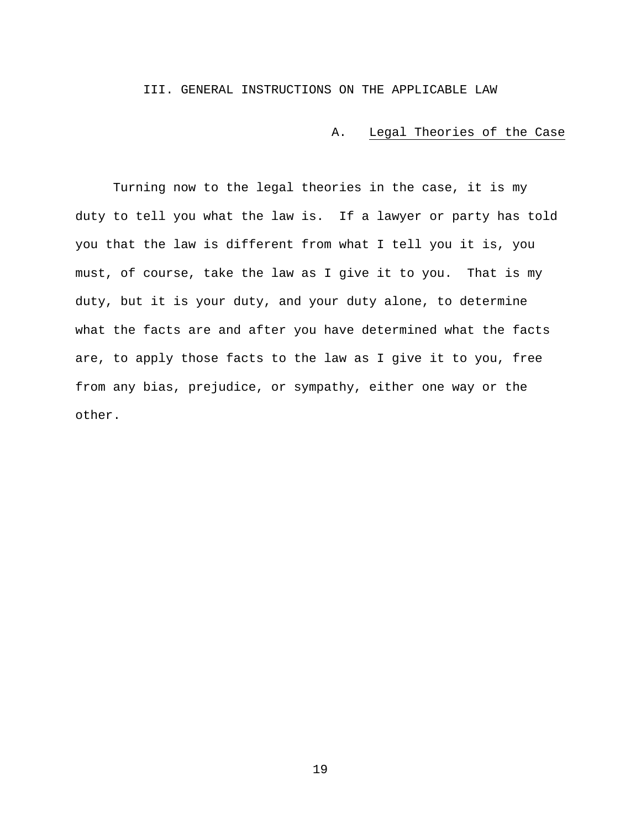III. GENERAL INSTRUCTIONS ON THE APPLICABLE LAW

A. Legal Theories of the Case

Turning now to the legal theories in the case, it is my duty to tell you what the law is. If a lawyer or party has told you that the law is different from what I tell you it is, you must, of course, take the law as I give it to you. That is my duty, but it is your duty, and your duty alone, to determine what the facts are and after you have determined what the facts are, to apply those facts to the law as I give it to you, free from any bias, prejudice, or sympathy, either one way or the other.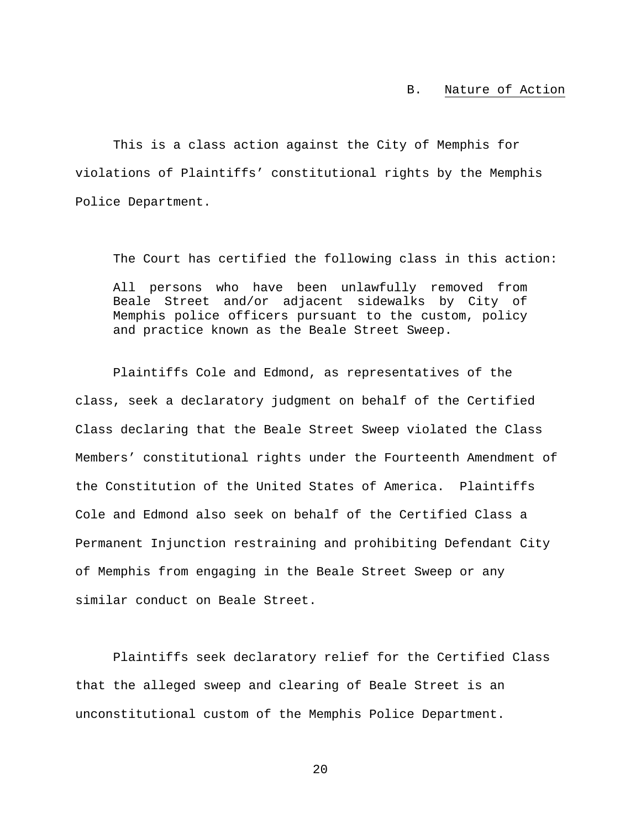# B. Nature of Action

This is a class action against the City of Memphis for violations of Plaintiffs' constitutional rights by the Memphis Police Department.

The Court has certified the following class in this action: All persons who have been unlawfully removed from Beale Street and/or adjacent sidewalks by City of Memphis police officers pursuant to the custom, policy and practice known as the Beale Street Sweep.

Plaintiffs Cole and Edmond, as representatives of the class, seek a declaratory judgment on behalf of the Certified Class declaring that the Beale Street Sweep violated the Class Members' constitutional rights under the Fourteenth Amendment of the Constitution of the United States of America. Plaintiffs Cole and Edmond also seek on behalf of the Certified Class a Permanent Injunction restraining and prohibiting Defendant City of Memphis from engaging in the Beale Street Sweep or any similar conduct on Beale Street.

Plaintiffs seek declaratory relief for the Certified Class that the alleged sweep and clearing of Beale Street is an unconstitutional custom of the Memphis Police Department.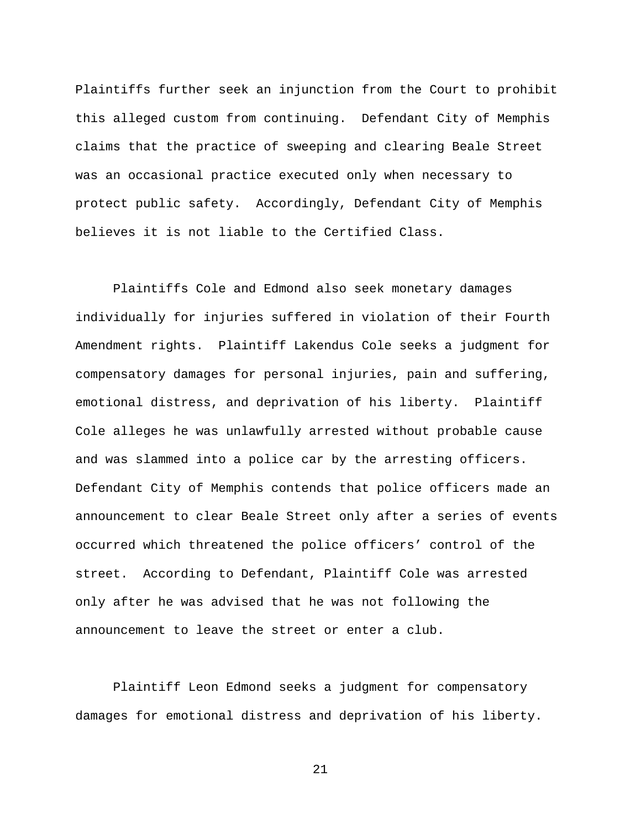Plaintiffs further seek an injunction from the Court to prohibit this alleged custom from continuing. Defendant City of Memphis claims that the practice of sweeping and clearing Beale Street was an occasional practice executed only when necessary to protect public safety. Accordingly, Defendant City of Memphis believes it is not liable to the Certified Class.

Plaintiffs Cole and Edmond also seek monetary damages individually for injuries suffered in violation of their Fourth Amendment rights. Plaintiff Lakendus Cole seeks a judgment for compensatory damages for personal injuries, pain and suffering, emotional distress, and deprivation of his liberty. Plaintiff Cole alleges he was unlawfully arrested without probable cause and was slammed into a police car by the arresting officers. Defendant City of Memphis contends that police officers made an announcement to clear Beale Street only after a series of events occurred which threatened the police officers' control of the street. According to Defendant, Plaintiff Cole was arrested only after he was advised that he was not following the announcement to leave the street or enter a club.

Plaintiff Leon Edmond seeks a judgment for compensatory damages for emotional distress and deprivation of his liberty.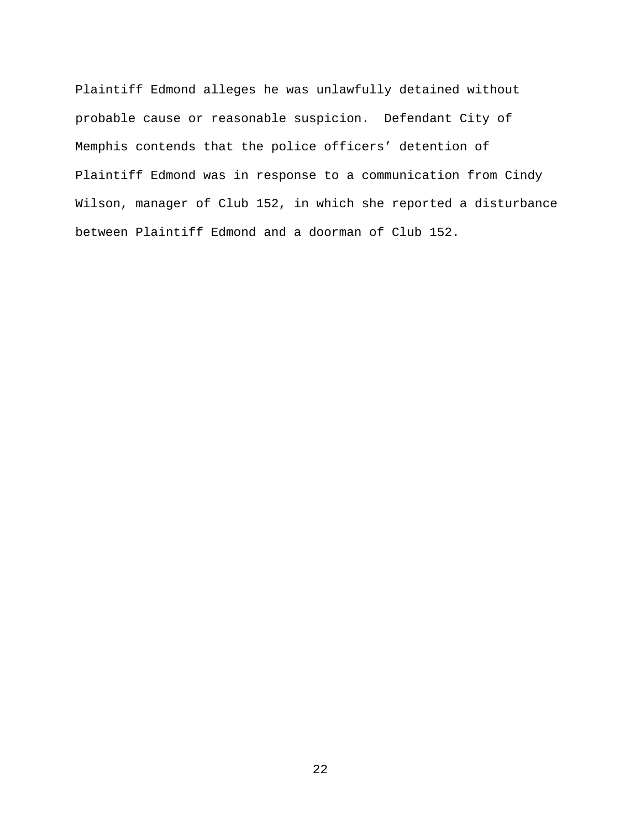Plaintiff Edmond alleges he was unlawfully detained without probable cause or reasonable suspicion. Defendant City of Memphis contends that the police officers' detention of Plaintiff Edmond was in response to a communication from Cindy Wilson, manager of Club 152, in which she reported a disturbance between Plaintiff Edmond and a doorman of Club 152.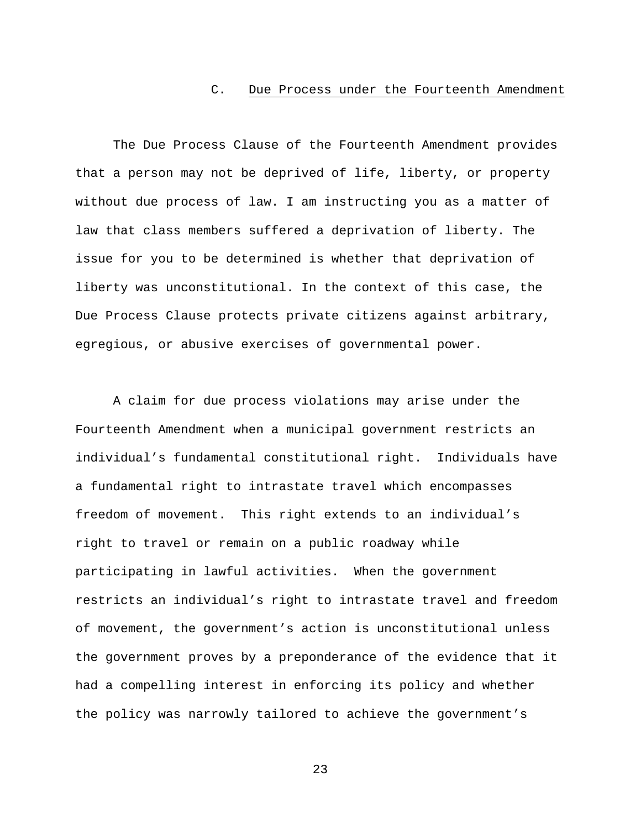## C. Due Process under the Fourteenth Amendment

The Due Process Clause of the Fourteenth Amendment provides that a person may not be deprived of life, liberty, or property without due process of law. I am instructing you as a matter of law that class members suffered a deprivation of liberty. The issue for you to be determined is whether that deprivation of liberty was unconstitutional. In the context of this case, the Due Process Clause protects private citizens against arbitrary, egregious, or abusive exercises of governmental power.

A claim for due process violations may arise under the Fourteenth Amendment when a municipal government restricts an individual's fundamental constitutional right. Individuals have a fundamental right to intrastate travel which encompasses freedom of movement. This right extends to an individual's right to travel or remain on a public roadway while participating in lawful activities. When the government restricts an individual's right to intrastate travel and freedom of movement, the government's action is unconstitutional unless the government proves by a preponderance of the evidence that it had a compelling interest in enforcing its policy and whether the policy was narrowly tailored to achieve the government's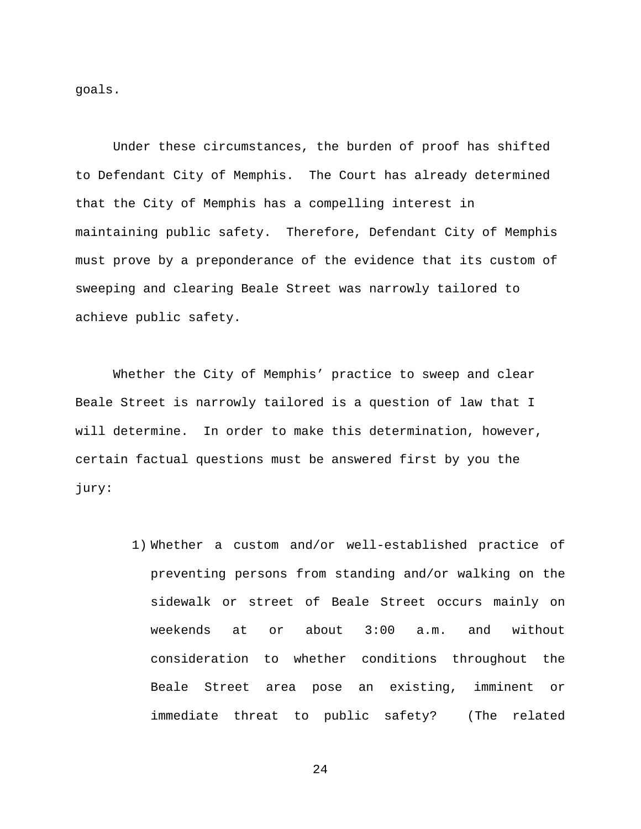goals.

Under these circumstances, the burden of proof has shifted to Defendant City of Memphis. The Court has already determined that the City of Memphis has a compelling interest in maintaining public safety. Therefore, Defendant City of Memphis must prove by a preponderance of the evidence that its custom of sweeping and clearing Beale Street was narrowly tailored to achieve public safety.

Whether the City of Memphis' practice to sweep and clear Beale Street is narrowly tailored is a question of law that I will determine. In order to make this determination, however, certain factual questions must be answered first by you the jury:

> 1) Whether a custom and/or well-established practice of preventing persons from standing and/or walking on the sidewalk or street of Beale Street occurs mainly on weekends at or about 3:00 a.m. and without consideration to whether conditions throughout the Beale Street area pose an existing, imminent or immediate threat to public safety? (The related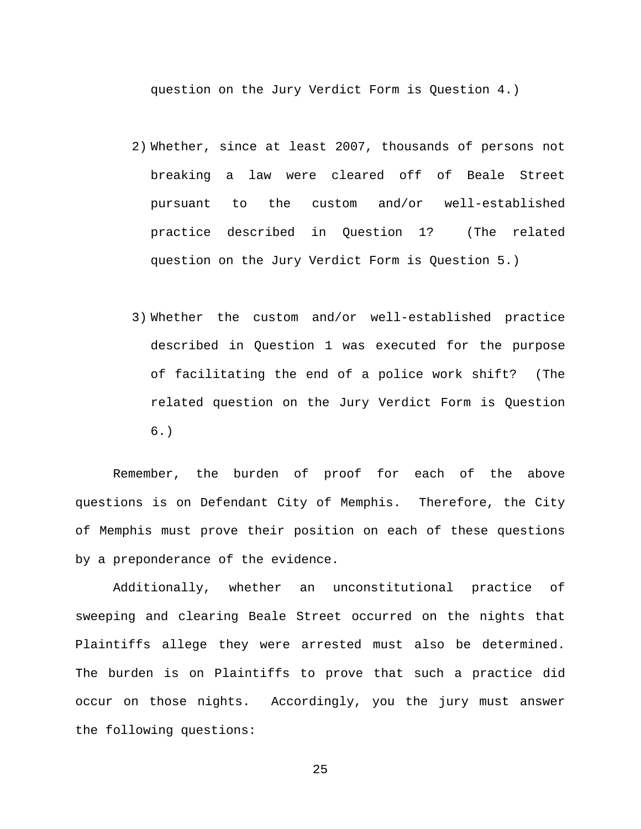question on the Jury Verdict Form is Question 4.)

- 2) Whether, since at least 2007, thousands of persons not breaking a law were cleared off of Beale Street pursuant to the custom and/or well-established practice described in Question 1? (The related question on the Jury Verdict Form is Question 5.)
- 3) Whether the custom and/or well-established practice described in Question 1 was executed for the purpose of facilitating the end of a police work shift? (The related question on the Jury Verdict Form is Question 6.)

Remember, the burden of proof for each of the above questions is on Defendant City of Memphis. Therefore, the City of Memphis must prove their position on each of these questions by a preponderance of the evidence.

Additionally, whether an unconstitutional practice of sweeping and clearing Beale Street occurred on the nights that Plaintiffs allege they were arrested must also be determined. The burden is on Plaintiffs to prove that such a practice did occur on those nights. Accordingly, you the jury must answer the following questions: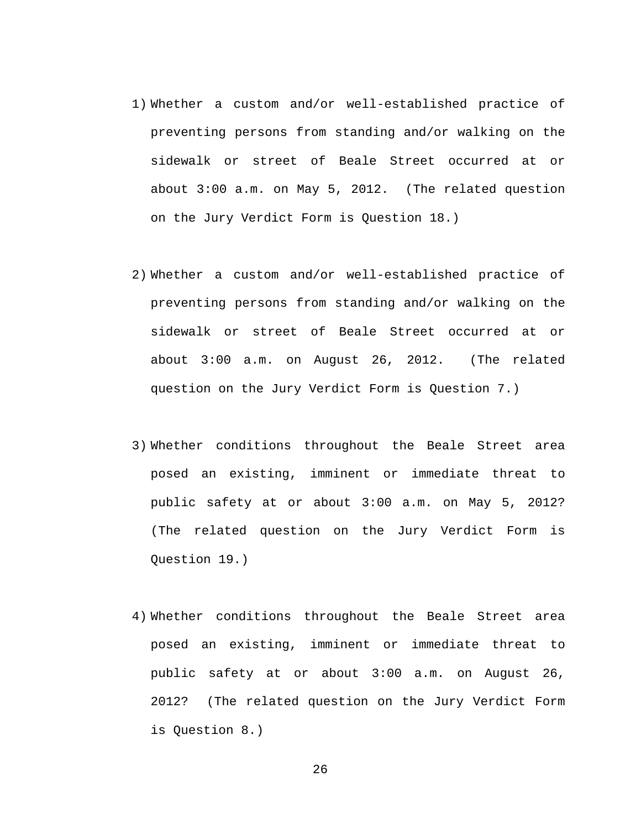- 1) Whether a custom and/or well-established practice of preventing persons from standing and/or walking on the sidewalk or street of Beale Street occurred at or about 3:00 a.m. on May 5, 2012. (The related question on the Jury Verdict Form is Question 18.)
- 2) Whether a custom and/or well-established practice of preventing persons from standing and/or walking on the sidewalk or street of Beale Street occurred at or about 3:00 a.m. on August 26, 2012. (The related question on the Jury Verdict Form is Question 7.)
- 3) Whether conditions throughout the Beale Street area posed an existing, imminent or immediate threat to public safety at or about 3:00 a.m. on May 5, 2012? (The related question on the Jury Verdict Form is Question 19.)
- 4) Whether conditions throughout the Beale Street area posed an existing, imminent or immediate threat to public safety at or about 3:00 a.m. on August 26, 2012? (The related question on the Jury Verdict Form is Question 8.)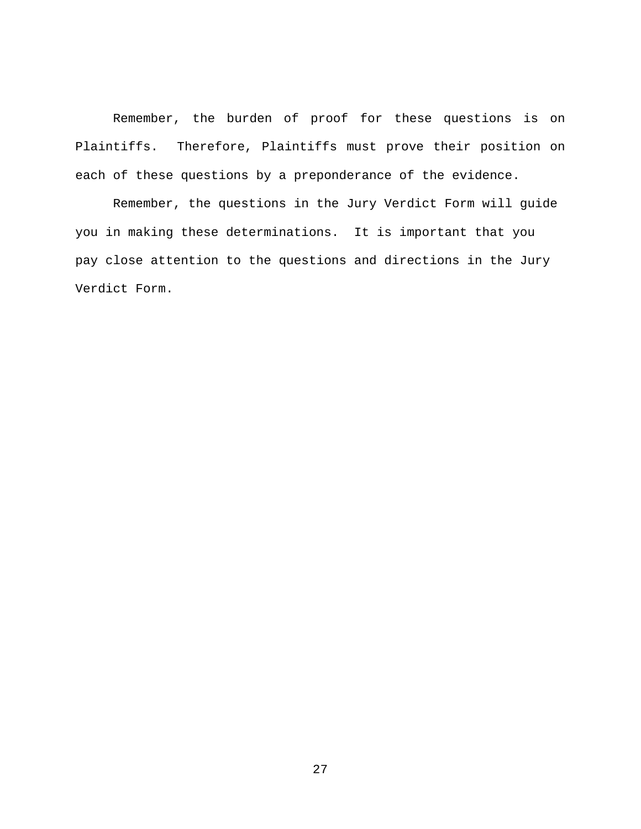Remember, the burden of proof for these questions is on Plaintiffs. Therefore, Plaintiffs must prove their position on each of these questions by a preponderance of the evidence.

Remember, the questions in the Jury Verdict Form will guide you in making these determinations. It is important that you pay close attention to the questions and directions in the Jury Verdict Form.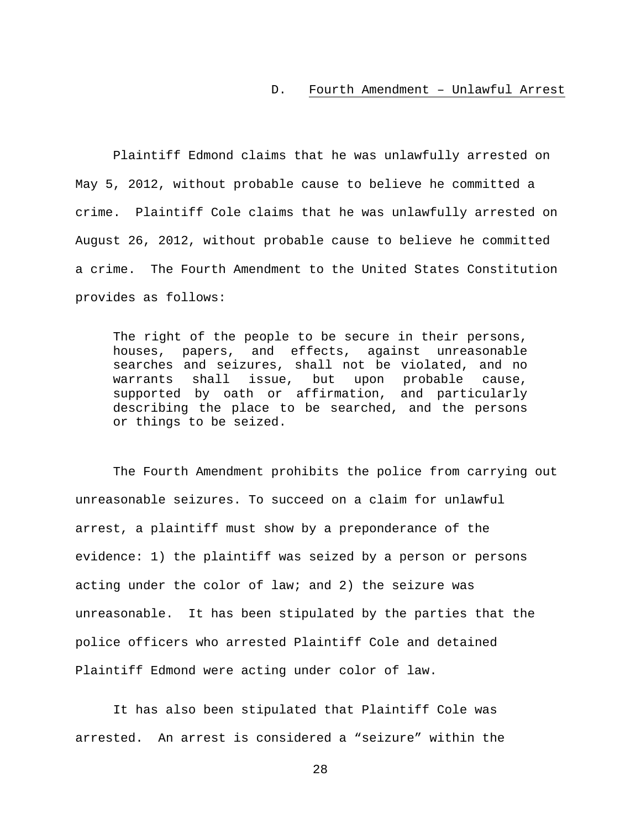#### D. Fourth Amendment – Unlawful Arrest

Plaintiff Edmond claims that he was unlawfully arrested on May 5, 2012, without probable cause to believe he committed a crime. Plaintiff Cole claims that he was unlawfully arrested on August 26, 2012, without probable cause to believe he committed a crime. The Fourth Amendment to the United States Constitution provides as follows:

The right of the people to be secure in their persons, houses, papers, and effects, against unreasonable searches and seizures, shall not be violated, and no<br>warrants shall issue, but upon probable cause, shall issue, but upon probable cause, supported by oath or affirmation, and particularly describing the place to be searched, and the persons or things to be seized.

The Fourth Amendment prohibits the police from carrying out unreasonable seizures. To succeed on a claim for unlawful arrest, a plaintiff must show by a preponderance of the evidence: 1) the plaintiff was seized by a person or persons acting under the color of law; and 2) the seizure was unreasonable. It has been stipulated by the parties that the police officers who arrested Plaintiff Cole and detained Plaintiff Edmond were acting under color of law.

It has also been stipulated that Plaintiff Cole was arrested. An arrest is considered a "seizure" within the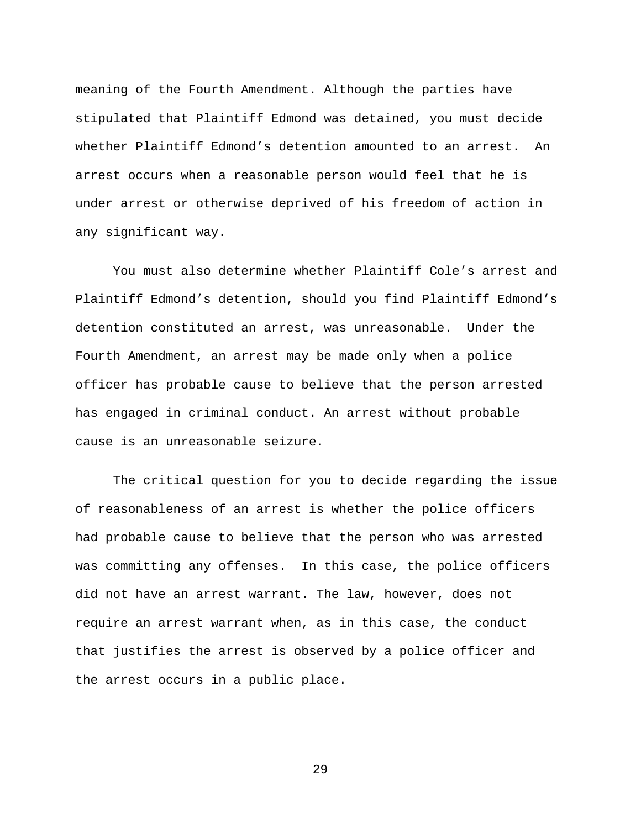meaning of the Fourth Amendment. Although the parties have stipulated that Plaintiff Edmond was detained, you must decide whether Plaintiff Edmond's detention amounted to an arrest. An arrest occurs when a reasonable person would feel that he is under arrest or otherwise deprived of his freedom of action in any significant way.

You must also determine whether Plaintiff Cole's arrest and Plaintiff Edmond's detention, should you find Plaintiff Edmond's detention constituted an arrest, was unreasonable. Under the Fourth Amendment, an arrest may be made only when a police officer has probable cause to believe that the person arrested has engaged in criminal conduct. An arrest without probable cause is an unreasonable seizure.

The critical question for you to decide regarding the issue of reasonableness of an arrest is whether the police officers had probable cause to believe that the person who was arrested was committing any offenses. In this case, the police officers did not have an arrest warrant. The law, however, does not require an arrest warrant when, as in this case, the conduct that justifies the arrest is observed by a police officer and the arrest occurs in a public place.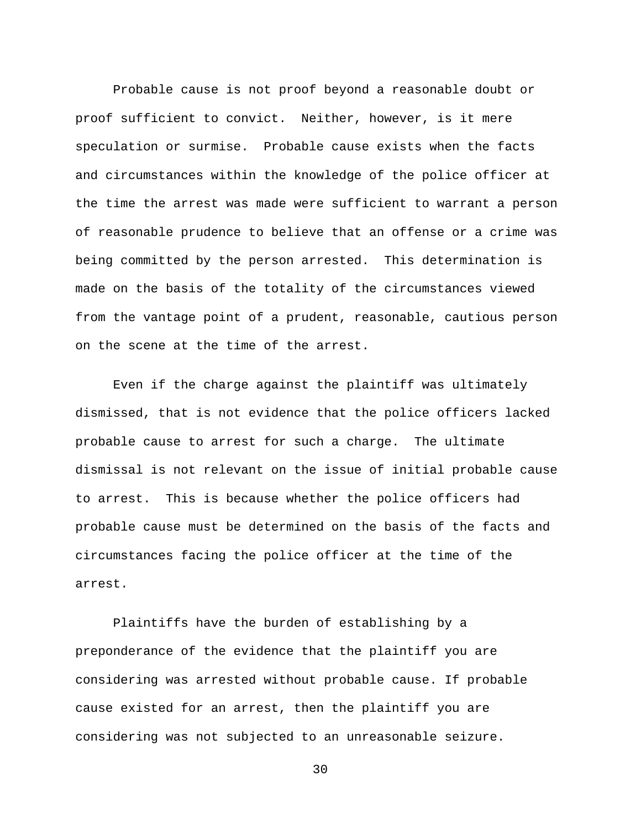Probable cause is not proof beyond a reasonable doubt or proof sufficient to convict. Neither, however, is it mere speculation or surmise. Probable cause exists when the facts and circumstances within the knowledge of the police officer at the time the arrest was made were sufficient to warrant a person of reasonable prudence to believe that an offense or a crime was being committed by the person arrested. This determination is made on the basis of the totality of the circumstances viewed from the vantage point of a prudent, reasonable, cautious person on the scene at the time of the arrest.

Even if the charge against the plaintiff was ultimately dismissed, that is not evidence that the police officers lacked probable cause to arrest for such a charge. The ultimate dismissal is not relevant on the issue of initial probable cause to arrest. This is because whether the police officers had probable cause must be determined on the basis of the facts and circumstances facing the police officer at the time of the arrest.

Plaintiffs have the burden of establishing by a preponderance of the evidence that the plaintiff you are considering was arrested without probable cause. If probable cause existed for an arrest, then the plaintiff you are considering was not subjected to an unreasonable seizure.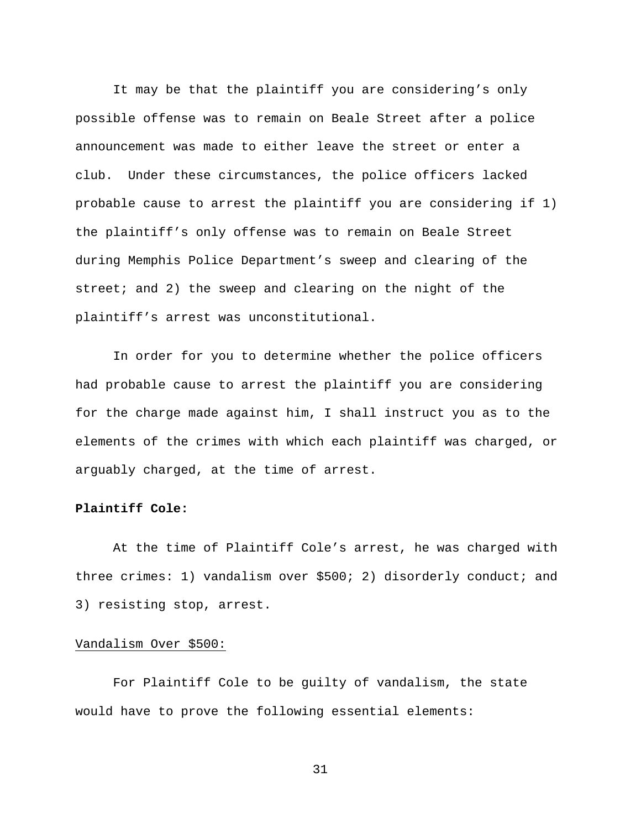It may be that the plaintiff you are considering's only possible offense was to remain on Beale Street after a police announcement was made to either leave the street or enter a club. Under these circumstances, the police officers lacked probable cause to arrest the plaintiff you are considering if 1) the plaintiff's only offense was to remain on Beale Street during Memphis Police Department's sweep and clearing of the street; and 2) the sweep and clearing on the night of the plaintiff's arrest was unconstitutional.

In order for you to determine whether the police officers had probable cause to arrest the plaintiff you are considering for the charge made against him, I shall instruct you as to the elements of the crimes with which each plaintiff was charged, or arguably charged, at the time of arrest.

# **Plaintiff Cole:**

At the time of Plaintiff Cole's arrest, he was charged with three crimes: 1) vandalism over \$500; 2) disorderly conduct; and 3) resisting stop, arrest.

### Vandalism Over \$500:

For Plaintiff Cole to be guilty of vandalism, the state would have to prove the following essential elements: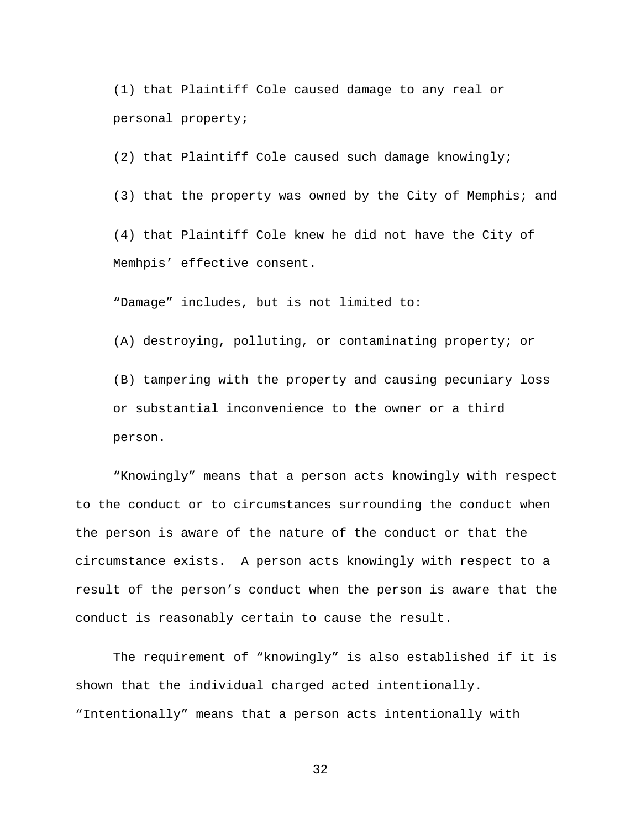(1) that Plaintiff Cole caused damage to any real or personal property;

(2) that Plaintiff Cole caused such damage knowingly;

(3) that the property was owned by the City of Memphis; and

(4) that Plaintiff Cole knew he did not have the City of Memhpis' effective consent.

"Damage" includes, but is not limited to:

(A) destroying, polluting, or contaminating property; or

(B) tampering with the property and causing pecuniary loss or substantial inconvenience to the owner or a third person.

"Knowingly" means that a person acts knowingly with respect to the conduct or to circumstances surrounding the conduct when the person is aware of the nature of the conduct or that the circumstance exists. A person acts knowingly with respect to a result of the person's conduct when the person is aware that the conduct is reasonably certain to cause the result.

The requirement of "knowingly" is also established if it is shown that the individual charged acted intentionally. "Intentionally" means that a person acts intentionally with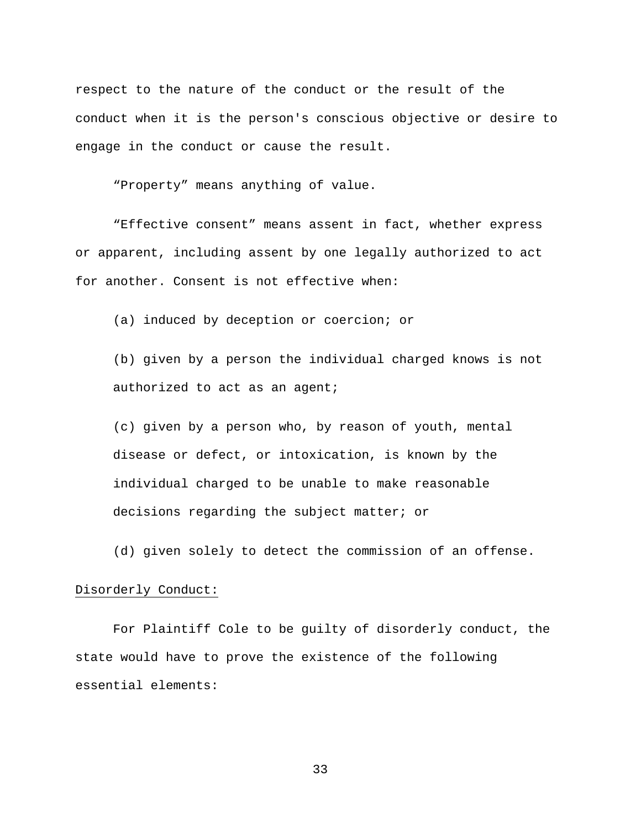respect to the nature of the conduct or the result of the conduct when it is the person's conscious objective or desire to engage in the conduct or cause the result.

"Property" means anything of value.

"Effective consent" means assent in fact, whether express or apparent, including assent by one legally authorized to act for another. Consent is not effective when:

(a) induced by deception or coercion; or

(b) given by a person the individual charged knows is not authorized to act as an agent;

(c) given by a person who, by reason of youth, mental disease or defect, or intoxication, is known by the individual charged to be unable to make reasonable decisions regarding the subject matter; or

(d) given solely to detect the commission of an offense.

### Disorderly Conduct:

For Plaintiff Cole to be guilty of disorderly conduct, the state would have to prove the existence of the following essential elements: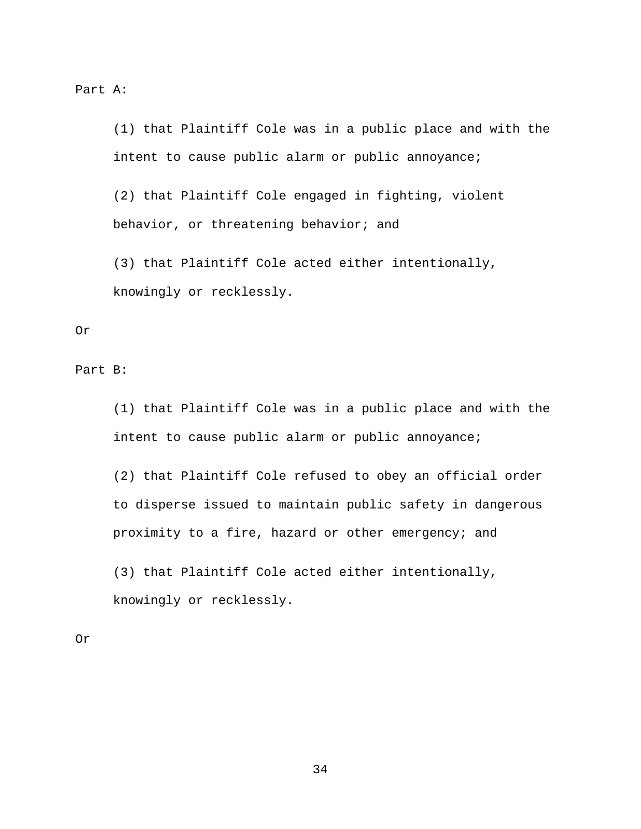Part A:

(1) that Plaintiff Cole was in a public place and with the intent to cause public alarm or public annoyance;

(2) that Plaintiff Cole engaged in fighting, violent behavior, or threatening behavior; and

(3) that Plaintiff Cole acted either intentionally, knowingly or recklessly.

### Or

Part B:

(1) that Plaintiff Cole was in a public place and with the intent to cause public alarm or public annoyance;

(2) that Plaintiff Cole refused to obey an official order to disperse issued to maintain public safety in dangerous proximity to a fire, hazard or other emergency; and

(3) that Plaintiff Cole acted either intentionally, knowingly or recklessly.

Or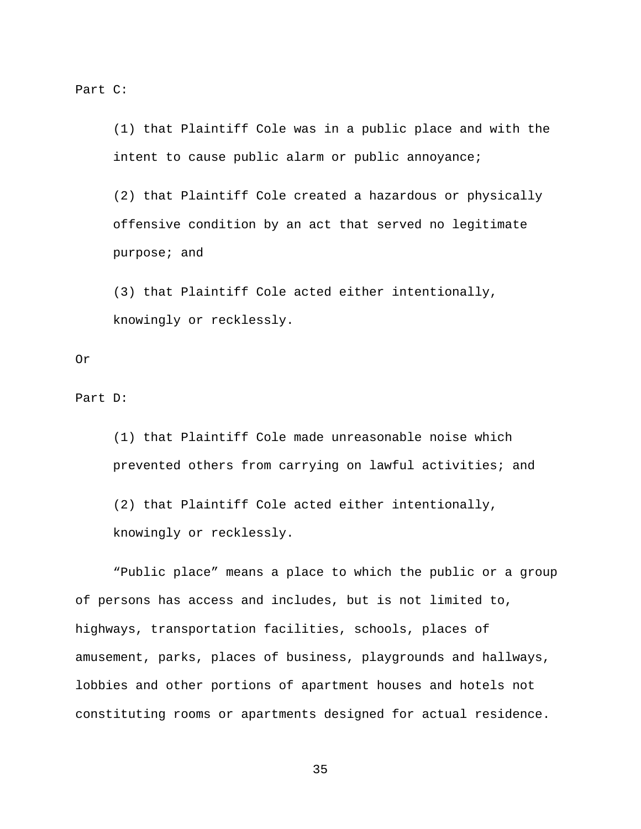Part C:

(1) that Plaintiff Cole was in a public place and with the intent to cause public alarm or public annoyance;

(2) that Plaintiff Cole created a hazardous or physically offensive condition by an act that served no legitimate purpose; and

(3) that Plaintiff Cole acted either intentionally, knowingly or recklessly.

### Or

Part D:

(1) that Plaintiff Cole made unreasonable noise which prevented others from carrying on lawful activities; and

(2) that Plaintiff Cole acted either intentionally, knowingly or recklessly.

"Public place" means a place to which the public or a group of persons has access and includes, but is not limited to, highways, transportation facilities, schools, places of amusement, parks, places of business, playgrounds and hallways, lobbies and other portions of apartment houses and hotels not constituting rooms or apartments designed for actual residence.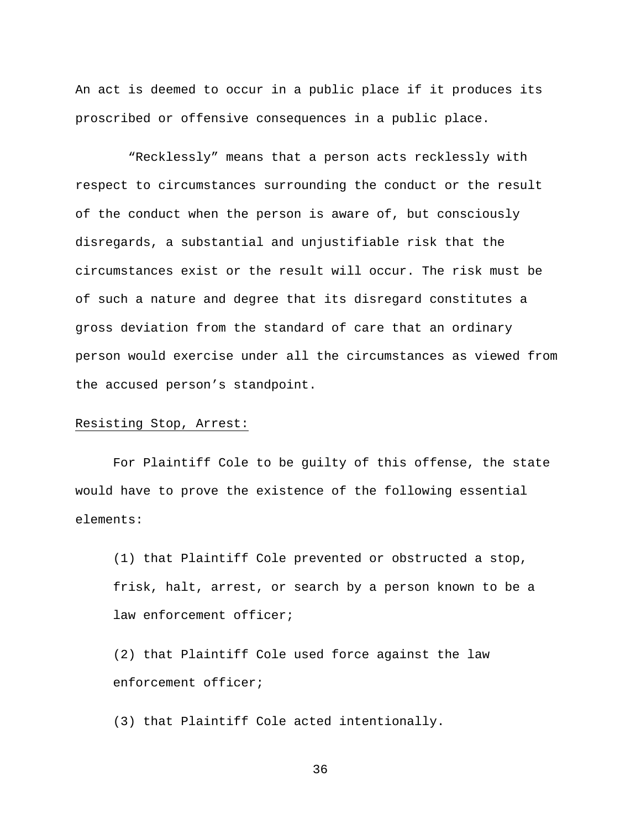An act is deemed to occur in a public place if it produces its proscribed or offensive consequences in a public place.

"Recklessly" means that a person acts recklessly with respect to circumstances surrounding the conduct or the result of the conduct when the person is aware of, but consciously disregards, a substantial and unjustifiable risk that the circumstances exist or the result will occur. The risk must be of such a nature and degree that its disregard constitutes a gross deviation from the standard of care that an ordinary person would exercise under all the circumstances as viewed from the accused person's standpoint.

### Resisting Stop, Arrest:

For Plaintiff Cole to be guilty of this offense, the state would have to prove the existence of the following essential elements:

(1) that Plaintiff Cole prevented or obstructed a stop, frisk, halt, arrest, or search by a person known to be a law enforcement officer;

(2) that Plaintiff Cole used force against the law enforcement officer;

(3) that Plaintiff Cole acted intentionally.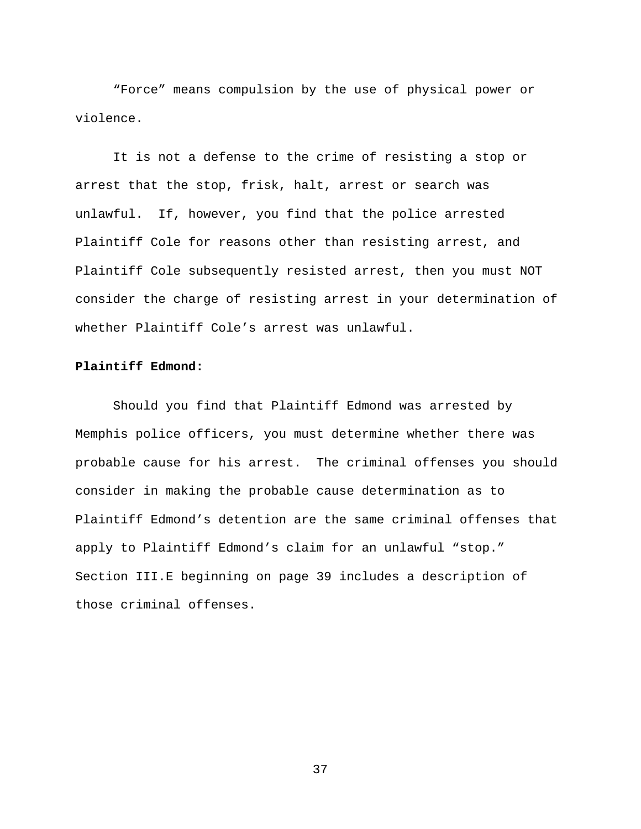"Force" means compulsion by the use of physical power or violence.

It is not a defense to the crime of resisting a stop or arrest that the stop, frisk, halt, arrest or search was unlawful. If, however, you find that the police arrested Plaintiff Cole for reasons other than resisting arrest, and Plaintiff Cole subsequently resisted arrest, then you must NOT consider the charge of resisting arrest in your determination of whether Plaintiff Cole's arrest was unlawful.

# **Plaintiff Edmond:**

Should you find that Plaintiff Edmond was arrested by Memphis police officers, you must determine whether there was probable cause for his arrest. The criminal offenses you should consider in making the probable cause determination as to Plaintiff Edmond's detention are the same criminal offenses that apply to Plaintiff Edmond's claim for an unlawful "stop." Section III.E beginning on page 39 includes a description of those criminal offenses.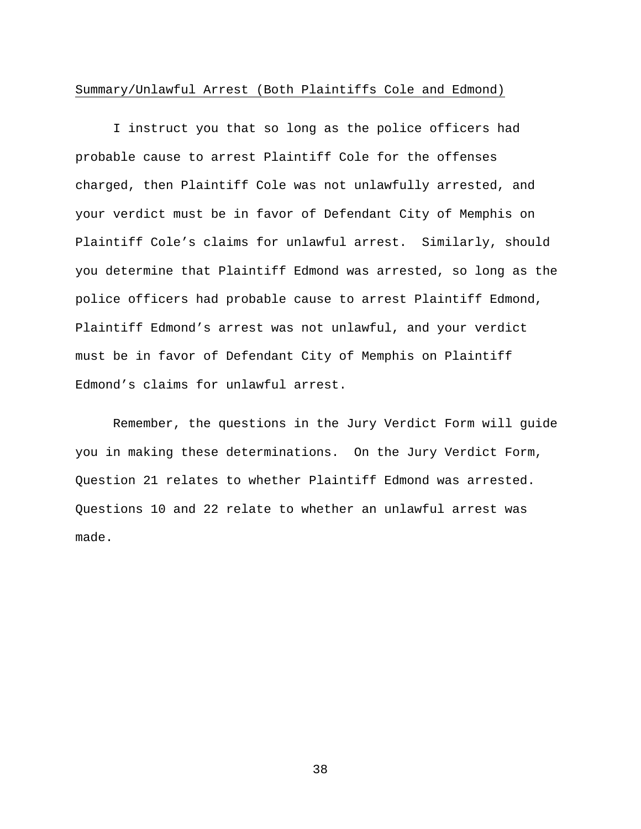### Summary/Unlawful Arrest (Both Plaintiffs Cole and Edmond)

I instruct you that so long as the police officers had probable cause to arrest Plaintiff Cole for the offenses charged, then Plaintiff Cole was not unlawfully arrested, and your verdict must be in favor of Defendant City of Memphis on Plaintiff Cole's claims for unlawful arrest. Similarly, should you determine that Plaintiff Edmond was arrested, so long as the police officers had probable cause to arrest Plaintiff Edmond, Plaintiff Edmond's arrest was not unlawful, and your verdict must be in favor of Defendant City of Memphis on Plaintiff Edmond's claims for unlawful arrest.

Remember, the questions in the Jury Verdict Form will guide you in making these determinations. On the Jury Verdict Form, Question 21 relates to whether Plaintiff Edmond was arrested. Questions 10 and 22 relate to whether an unlawful arrest was made.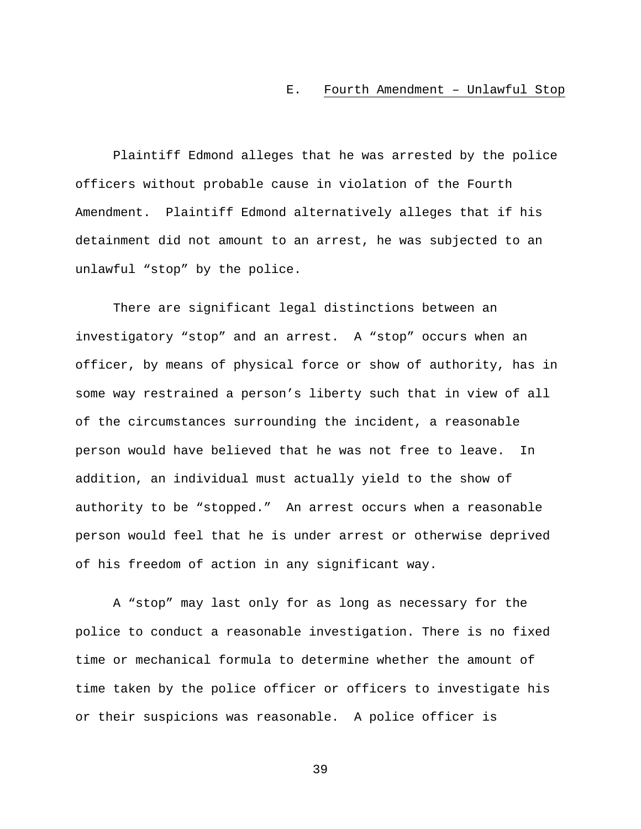#### E. Fourth Amendment – Unlawful Stop

Plaintiff Edmond alleges that he was arrested by the police officers without probable cause in violation of the Fourth Amendment. Plaintiff Edmond alternatively alleges that if his detainment did not amount to an arrest, he was subjected to an unlawful "stop" by the police.

There are significant legal distinctions between an investigatory "stop" and an arrest. A "stop" occurs when an officer, by means of physical force or show of authority, has in some way restrained a person's liberty such that in view of all of the circumstances surrounding the incident, a reasonable person would have believed that he was not free to leave. In addition, an individual must actually yield to the show of authority to be "stopped." An arrest occurs when a reasonable person would feel that he is under arrest or otherwise deprived of his freedom of action in any significant way.

A "stop" may last only for as long as necessary for the police to conduct a reasonable investigation. There is no fixed time or mechanical formula to determine whether the amount of time taken by the police officer or officers to investigate his or their suspicions was reasonable. A police officer is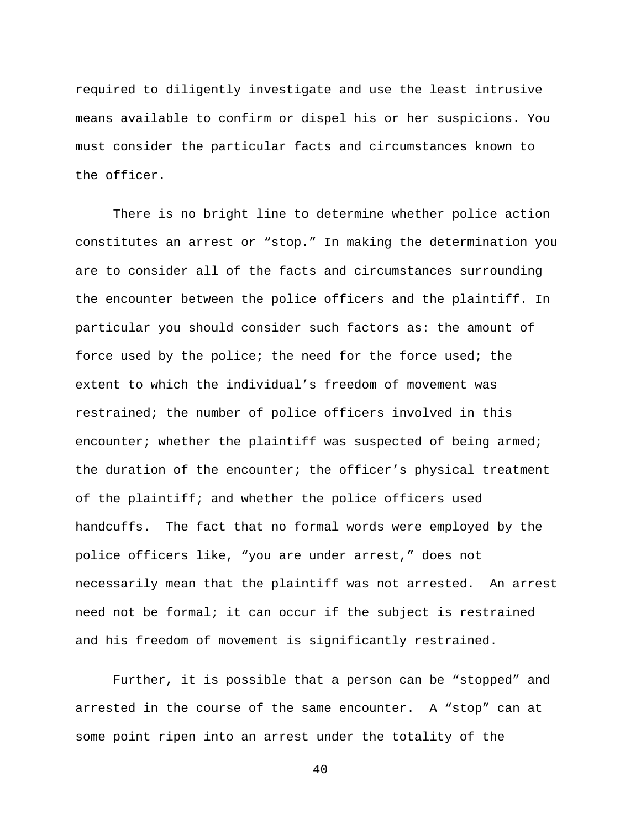required to diligently investigate and use the least intrusive means available to confirm or dispel his or her suspicions. You must consider the particular facts and circumstances known to the officer.

There is no bright line to determine whether police action constitutes an arrest or "stop." In making the determination you are to consider all of the facts and circumstances surrounding the encounter between the police officers and the plaintiff. In particular you should consider such factors as: the amount of force used by the police; the need for the force used; the extent to which the individual's freedom of movement was restrained; the number of police officers involved in this encounter; whether the plaintiff was suspected of being armed; the duration of the encounter; the officer's physical treatment of the plaintiff; and whether the police officers used handcuffs. The fact that no formal words were employed by the police officers like, "you are under arrest," does not necessarily mean that the plaintiff was not arrested. An arrest need not be formal; it can occur if the subject is restrained and his freedom of movement is significantly restrained.

Further, it is possible that a person can be "stopped" and arrested in the course of the same encounter. A "stop" can at some point ripen into an arrest under the totality of the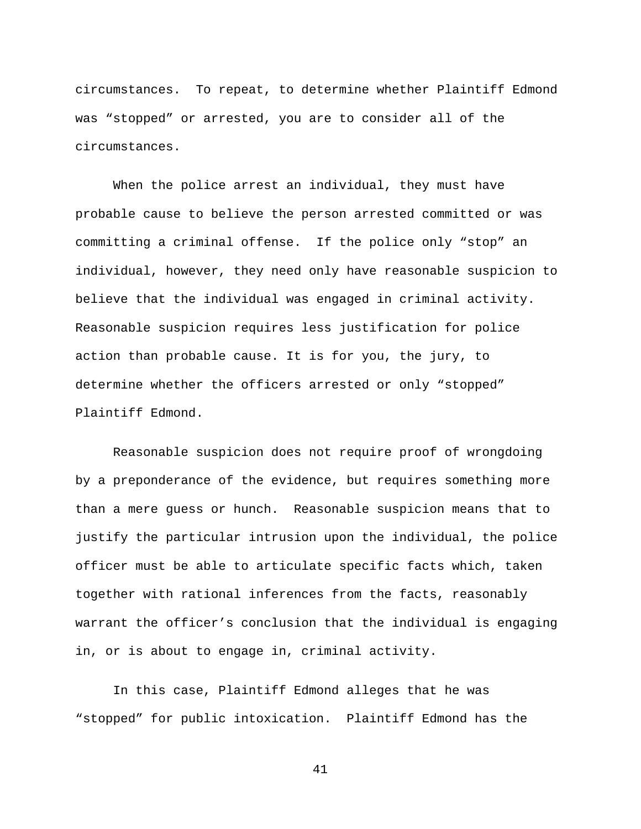circumstances. To repeat, to determine whether Plaintiff Edmond was "stopped" or arrested, you are to consider all of the circumstances.

When the police arrest an individual, they must have probable cause to believe the person arrested committed or was committing a criminal offense. If the police only "stop" an individual, however, they need only have reasonable suspicion to believe that the individual was engaged in criminal activity. Reasonable suspicion requires less justification for police action than probable cause. It is for you, the jury, to determine whether the officers arrested or only "stopped" Plaintiff Edmond.

Reasonable suspicion does not require proof of wrongdoing by a preponderance of the evidence, but requires something more than a mere guess or hunch. Reasonable suspicion means that to justify the particular intrusion upon the individual, the police officer must be able to articulate specific facts which, taken together with rational inferences from the facts, reasonably warrant the officer's conclusion that the individual is engaging in, or is about to engage in, criminal activity.

In this case, Plaintiff Edmond alleges that he was "stopped" for public intoxication. Plaintiff Edmond has the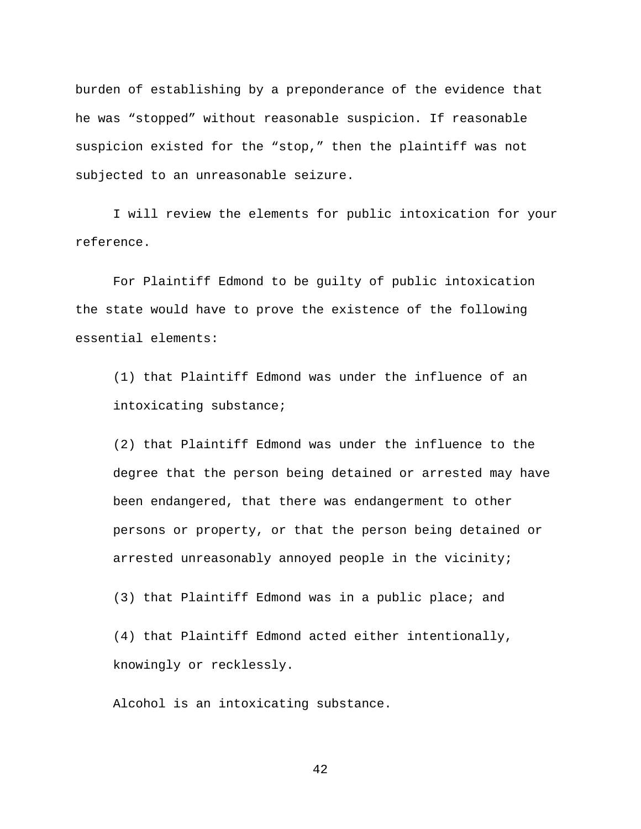burden of establishing by a preponderance of the evidence that he was "stopped" without reasonable suspicion. If reasonable suspicion existed for the "stop," then the plaintiff was not subjected to an unreasonable seizure.

I will review the elements for public intoxication for your reference.

For Plaintiff Edmond to be guilty of public intoxication the state would have to prove the existence of the following essential elements:

(1) that Plaintiff Edmond was under the influence of an intoxicating substance;

(2) that Plaintiff Edmond was under the influence to the degree that the person being detained or arrested may have been endangered, that there was endangerment to other persons or property, or that the person being detained or arrested unreasonably annoyed people in the vicinity;

(3) that Plaintiff Edmond was in a public place; and

(4) that Plaintiff Edmond acted either intentionally, knowingly or recklessly.

Alcohol is an intoxicating substance.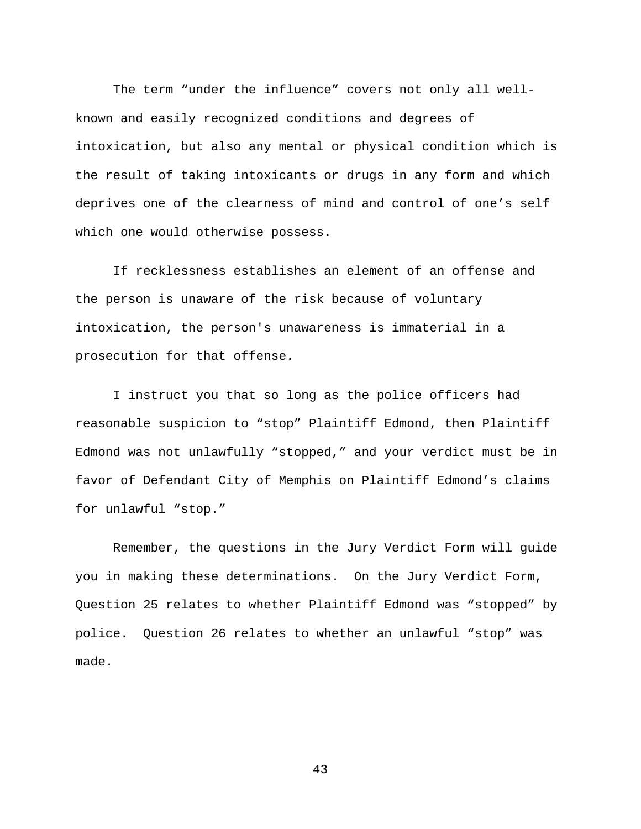The term "under the influence" covers not only all wellknown and easily recognized conditions and degrees of intoxication, but also any mental or physical condition which is the result of taking intoxicants or drugs in any form and which deprives one of the clearness of mind and control of one's self which one would otherwise possess.

If recklessness establishes an element of an offense and the person is unaware of the risk because of voluntary intoxication, the person's unawareness is immaterial in a prosecution for that offense.

I instruct you that so long as the police officers had reasonable suspicion to "stop" Plaintiff Edmond, then Plaintiff Edmond was not unlawfully "stopped," and your verdict must be in favor of Defendant City of Memphis on Plaintiff Edmond's claims for unlawful "stop."

Remember, the questions in the Jury Verdict Form will guide you in making these determinations. On the Jury Verdict Form, Question 25 relates to whether Plaintiff Edmond was "stopped" by police. Question 26 relates to whether an unlawful "stop" was made.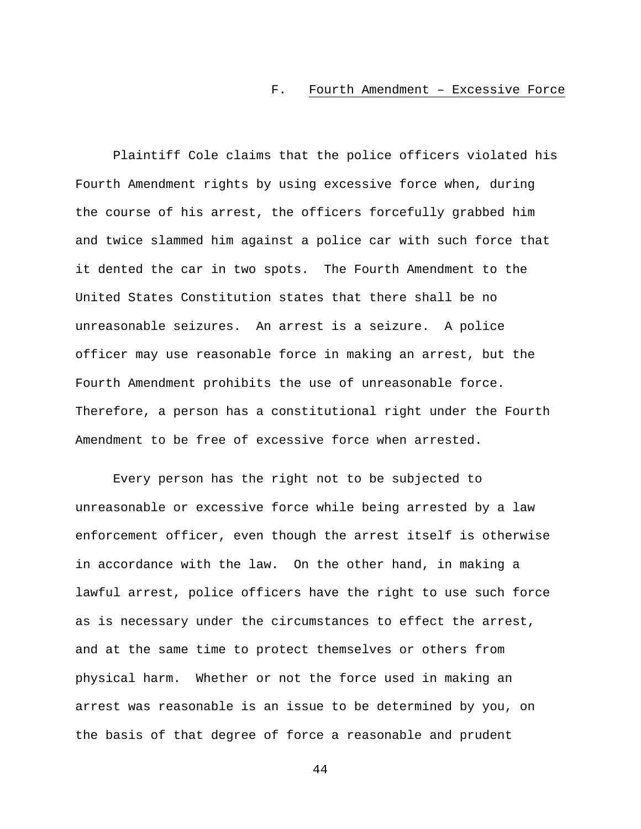#### F. Fourth Amendment – Excessive Force

Plaintiff Cole claims that the police officers violated his Fourth Amendment rights by using excessive force when, during the course of his arrest, the officers forcefully grabbed him and twice slammed him against a police car with such force that it dented the car in two spots. The Fourth Amendment to the United States Constitution states that there shall be no unreasonable seizures. An arrest is a seizure. A police officer may use reasonable force in making an arrest, but the Fourth Amendment prohibits the use of unreasonable force. Therefore, a person has a constitutional right under the Fourth Amendment to be free of excessive force when arrested.

Every person has the right not to be subjected to unreasonable or excessive force while being arrested by a law enforcement officer, even though the arrest itself is otherwise in accordance with the law. On the other hand, in making a lawful arrest, police officers have the right to use such force as is necessary under the circumstances to effect the arrest, and at the same time to protect themselves or others from physical harm. Whether or not the force used in making an arrest was reasonable is an issue to be determined by you, on the basis of that degree of force a reasonable and prudent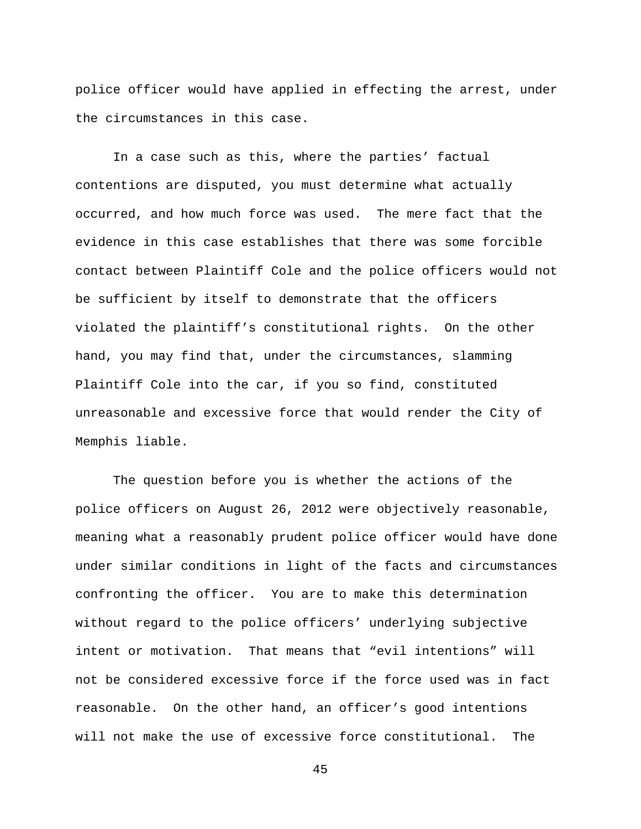police officer would have applied in effecting the arrest, under the circumstances in this case.

In a case such as this, where the parties' factual contentions are disputed, you must determine what actually occurred, and how much force was used. The mere fact that the evidence in this case establishes that there was some forcible contact between Plaintiff Cole and the police officers would not be sufficient by itself to demonstrate that the officers violated the plaintiff's constitutional rights. On the other hand, you may find that, under the circumstances, slamming Plaintiff Cole into the car, if you so find, constituted unreasonable and excessive force that would render the City of Memphis liable.

The question before you is whether the actions of the police officers on August 26, 2012 were objectively reasonable, meaning what a reasonably prudent police officer would have done under similar conditions in light of the facts and circumstances confronting the officer. You are to make this determination without regard to the police officers' underlying subjective intent or motivation. That means that "evil intentions" will not be considered excessive force if the force used was in fact reasonable. On the other hand, an officer's good intentions will not make the use of excessive force constitutional. The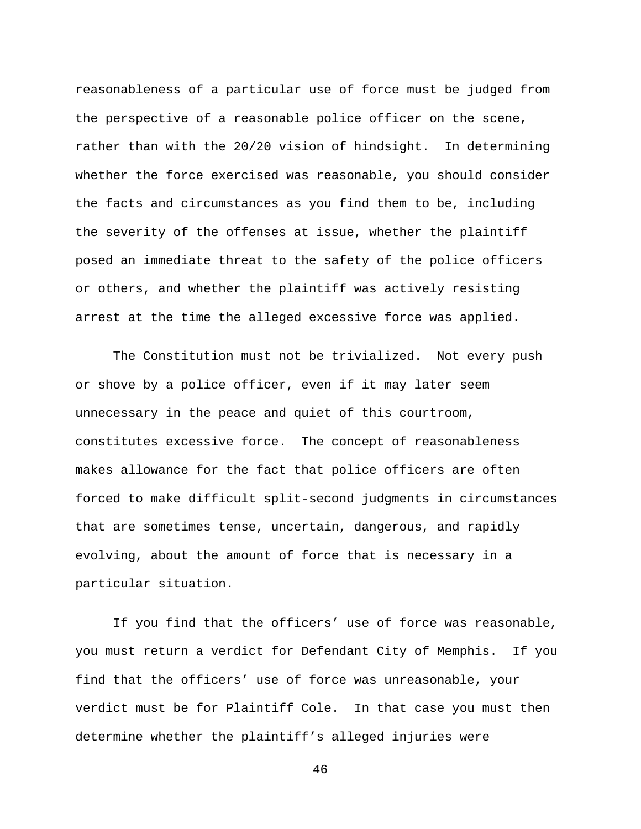reasonableness of a particular use of force must be judged from the perspective of a reasonable police officer on the scene, rather than with the 20/20 vision of hindsight. In determining whether the force exercised was reasonable, you should consider the facts and circumstances as you find them to be, including the severity of the offenses at issue, whether the plaintiff posed an immediate threat to the safety of the police officers or others, and whether the plaintiff was actively resisting arrest at the time the alleged excessive force was applied.

The Constitution must not be trivialized. Not every push or shove by a police officer, even if it may later seem unnecessary in the peace and quiet of this courtroom, constitutes excessive force. The concept of reasonableness makes allowance for the fact that police officers are often forced to make difficult split-second judgments in circumstances that are sometimes tense, uncertain, dangerous, and rapidly evolving, about the amount of force that is necessary in a particular situation.

If you find that the officers' use of force was reasonable, you must return a verdict for Defendant City of Memphis. If you find that the officers' use of force was unreasonable, your verdict must be for Plaintiff Cole. In that case you must then determine whether the plaintiff's alleged injuries were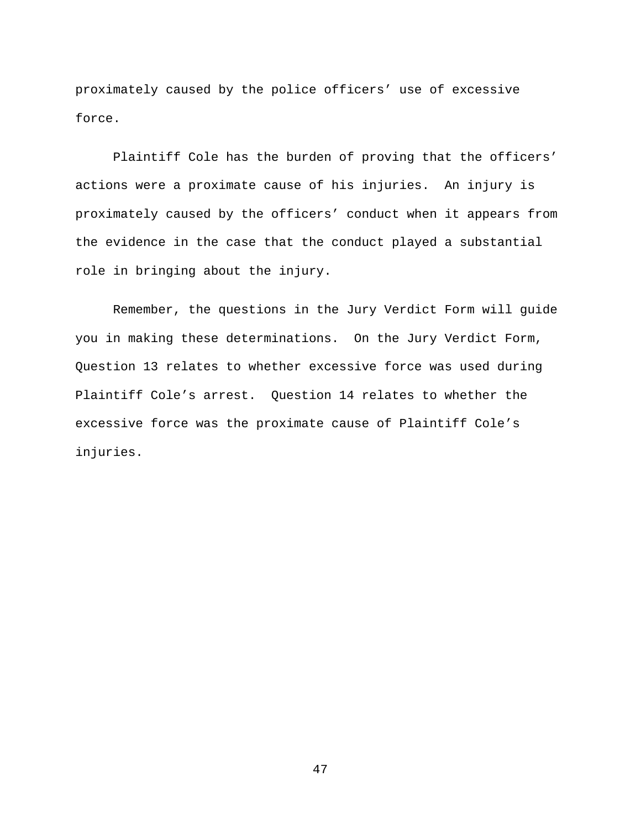proximately caused by the police officers' use of excessive force.

Plaintiff Cole has the burden of proving that the officers' actions were a proximate cause of his injuries. An injury is proximately caused by the officers' conduct when it appears from the evidence in the case that the conduct played a substantial role in bringing about the injury.

Remember, the questions in the Jury Verdict Form will guide you in making these determinations. On the Jury Verdict Form, Question 13 relates to whether excessive force was used during Plaintiff Cole's arrest. Question 14 relates to whether the excessive force was the proximate cause of Plaintiff Cole's injuries.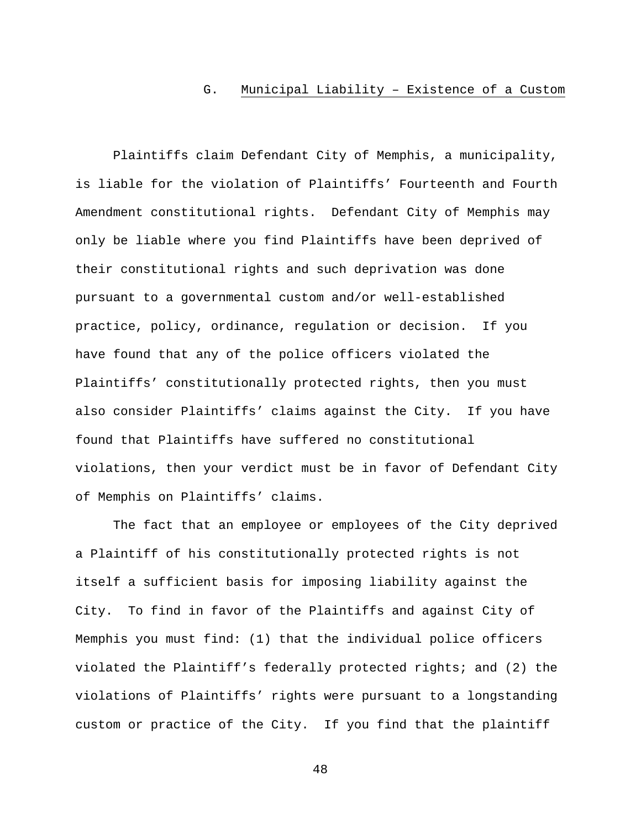#### G. Municipal Liability – Existence of a Custom

Plaintiffs claim Defendant City of Memphis, a municipality, is liable for the violation of Plaintiffs' Fourteenth and Fourth Amendment constitutional rights. Defendant City of Memphis may only be liable where you find Plaintiffs have been deprived of their constitutional rights and such deprivation was done pursuant to a governmental custom and/or well-established practice, policy, ordinance, regulation or decision. If you have found that any of the police officers violated the Plaintiffs' constitutionally protected rights, then you must also consider Plaintiffs' claims against the City. If you have found that Plaintiffs have suffered no constitutional violations, then your verdict must be in favor of Defendant City of Memphis on Plaintiffs' claims.

The fact that an employee or employees of the City deprived a Plaintiff of his constitutionally protected rights is not itself a sufficient basis for imposing liability against the City. To find in favor of the Plaintiffs and against City of Memphis you must find: (1) that the individual police officers violated the Plaintiff's federally protected rights; and (2) the violations of Plaintiffs' rights were pursuant to a longstanding custom or practice of the City. If you find that the plaintiff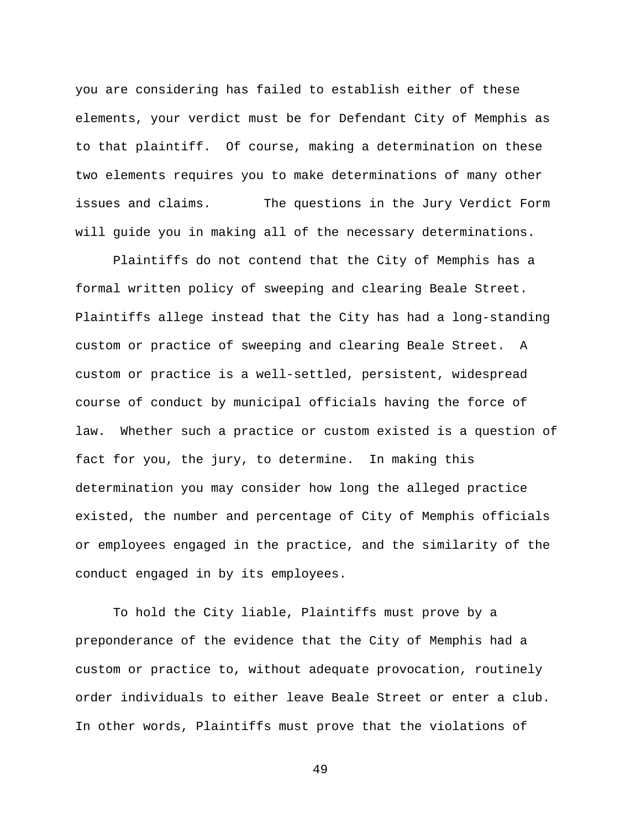you are considering has failed to establish either of these elements, your verdict must be for Defendant City of Memphis as to that plaintiff. Of course, making a determination on these two elements requires you to make determinations of many other issues and claims. The questions in the Jury Verdict Form will guide you in making all of the necessary determinations.

Plaintiffs do not contend that the City of Memphis has a formal written policy of sweeping and clearing Beale Street. Plaintiffs allege instead that the City has had a long-standing custom or practice of sweeping and clearing Beale Street. A custom or practice is a well-settled, persistent, widespread course of conduct by municipal officials having the force of law. Whether such a practice or custom existed is a question of fact for you, the jury, to determine. In making this determination you may consider how long the alleged practice existed, the number and percentage of City of Memphis officials or employees engaged in the practice, and the similarity of the conduct engaged in by its employees.

To hold the City liable, Plaintiffs must prove by a preponderance of the evidence that the City of Memphis had a custom or practice to, without adequate provocation, routinely order individuals to either leave Beale Street or enter a club. In other words, Plaintiffs must prove that the violations of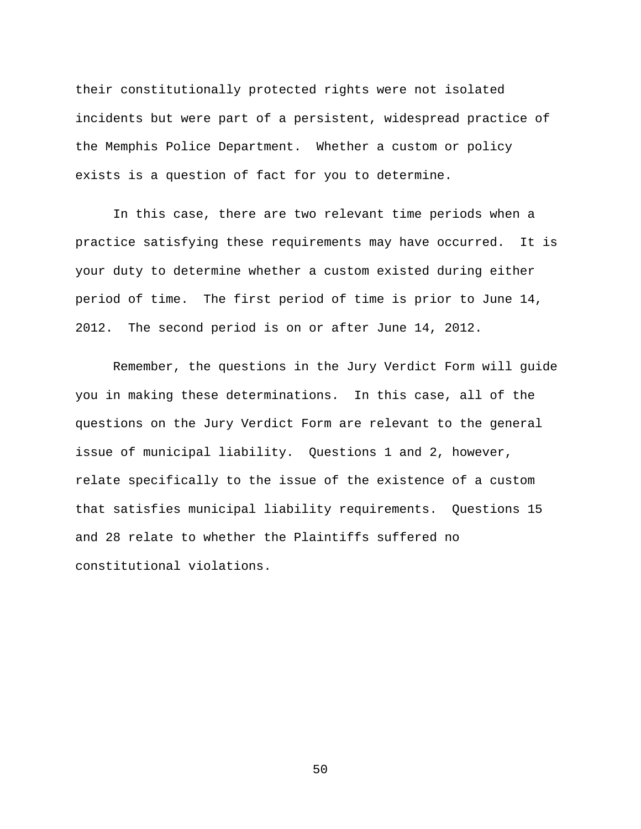their constitutionally protected rights were not isolated incidents but were part of a persistent, widespread practice of the Memphis Police Department. Whether a custom or policy exists is a question of fact for you to determine.

In this case, there are two relevant time periods when a practice satisfying these requirements may have occurred. It is your duty to determine whether a custom existed during either period of time. The first period of time is prior to June 14, 2012. The second period is on or after June 14, 2012.

Remember, the questions in the Jury Verdict Form will guide you in making these determinations. In this case, all of the questions on the Jury Verdict Form are relevant to the general issue of municipal liability. Questions 1 and 2, however, relate specifically to the issue of the existence of a custom that satisfies municipal liability requirements. Questions 15 and 28 relate to whether the Plaintiffs suffered no constitutional violations.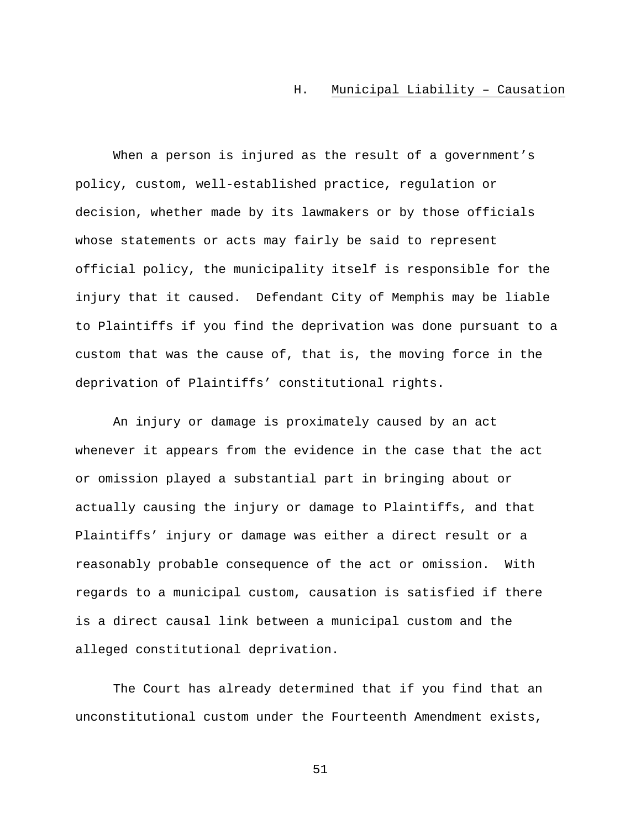### H. Municipal Liability – Causation

When a person is injured as the result of a government's policy, custom, well-established practice, regulation or decision, whether made by its lawmakers or by those officials whose statements or acts may fairly be said to represent official policy, the municipality itself is responsible for the injury that it caused. Defendant City of Memphis may be liable to Plaintiffs if you find the deprivation was done pursuant to a custom that was the cause of, that is, the moving force in the deprivation of Plaintiffs' constitutional rights.

An injury or damage is proximately caused by an act whenever it appears from the evidence in the case that the act or omission played a substantial part in bringing about or actually causing the injury or damage to Plaintiffs, and that Plaintiffs' injury or damage was either a direct result or a reasonably probable consequence of the act or omission. With regards to a municipal custom, causation is satisfied if there is a direct causal link between a municipal custom and the alleged constitutional deprivation.

The Court has already determined that if you find that an unconstitutional custom under the Fourteenth Amendment exists,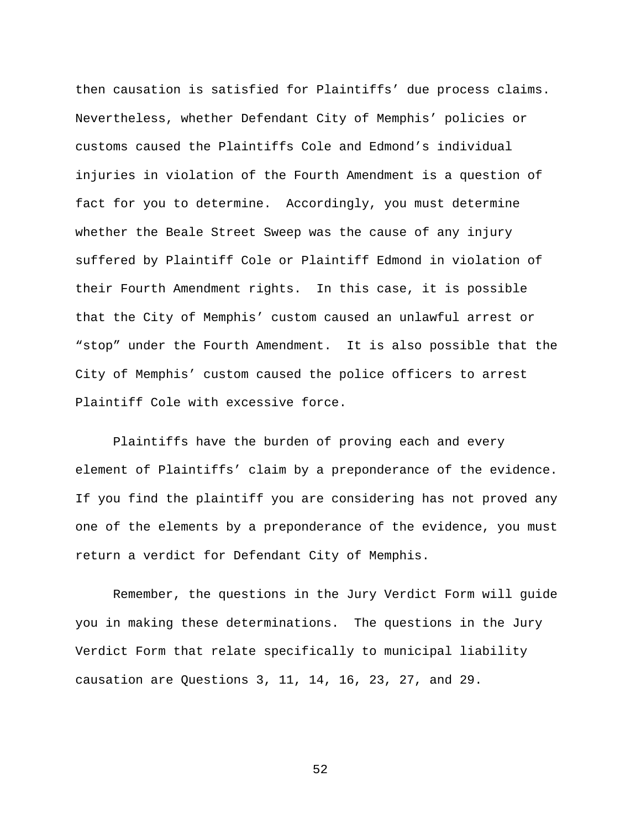then causation is satisfied for Plaintiffs' due process claims. Nevertheless, whether Defendant City of Memphis' policies or customs caused the Plaintiffs Cole and Edmond's individual injuries in violation of the Fourth Amendment is a question of fact for you to determine. Accordingly, you must determine whether the Beale Street Sweep was the cause of any injury suffered by Plaintiff Cole or Plaintiff Edmond in violation of their Fourth Amendment rights. In this case, it is possible that the City of Memphis' custom caused an unlawful arrest or "stop" under the Fourth Amendment. It is also possible that the City of Memphis' custom caused the police officers to arrest Plaintiff Cole with excessive force.

Plaintiffs have the burden of proving each and every element of Plaintiffs' claim by a preponderance of the evidence. If you find the plaintiff you are considering has not proved any one of the elements by a preponderance of the evidence, you must return a verdict for Defendant City of Memphis.

Remember, the questions in the Jury Verdict Form will guide you in making these determinations. The questions in the Jury Verdict Form that relate specifically to municipal liability causation are Questions 3, 11, 14, 16, 23, 27, and 29.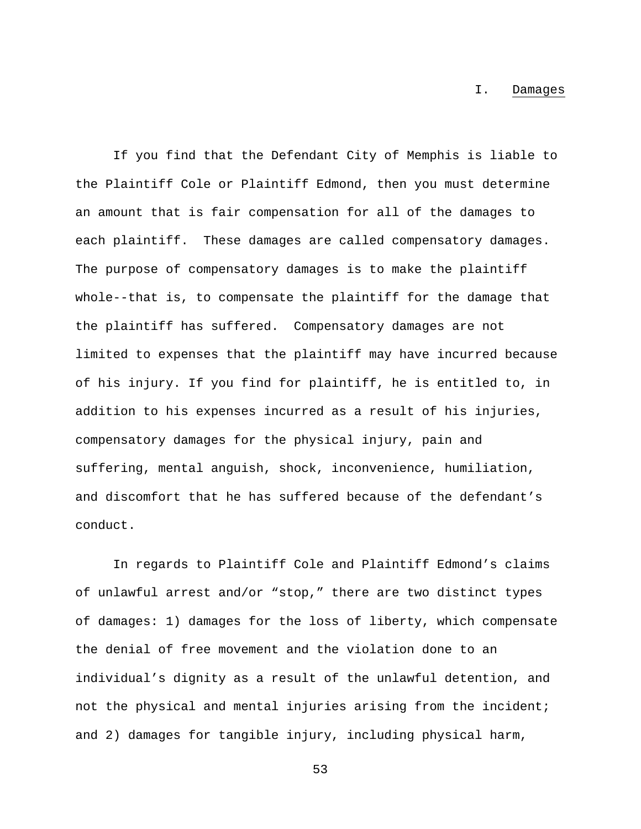I. Damages

If you find that the Defendant City of Memphis is liable to the Plaintiff Cole or Plaintiff Edmond, then you must determine an amount that is fair compensation for all of the damages to each plaintiff. These damages are called compensatory damages. The purpose of compensatory damages is to make the plaintiff whole--that is, to compensate the plaintiff for the damage that the plaintiff has suffered. Compensatory damages are not limited to expenses that the plaintiff may have incurred because of his injury. If you find for plaintiff, he is entitled to, in addition to his expenses incurred as a result of his injuries, compensatory damages for the physical injury, pain and suffering, mental anguish, shock, inconvenience, humiliation, and discomfort that he has suffered because of the defendant's conduct.

In regards to Plaintiff Cole and Plaintiff Edmond's claims of unlawful arrest and/or "stop," there are two distinct types of damages: 1) damages for the loss of liberty, which compensate the denial of free movement and the violation done to an individual's dignity as a result of the unlawful detention, and not the physical and mental injuries arising from the incident; and 2) damages for tangible injury, including physical harm,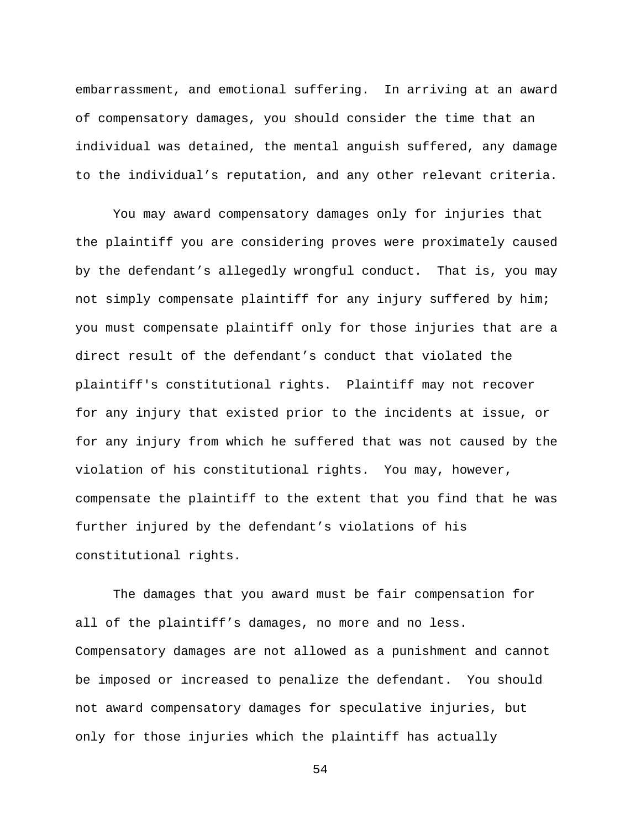embarrassment, and emotional suffering. In arriving at an award of compensatory damages, you should consider the time that an individual was detained, the mental anguish suffered, any damage to the individual's reputation, and any other relevant criteria.

You may award compensatory damages only for injuries that the plaintiff you are considering proves were proximately caused by the defendant's allegedly wrongful conduct. That is, you may not simply compensate plaintiff for any injury suffered by him; you must compensate plaintiff only for those injuries that are a direct result of the defendant's conduct that violated the plaintiff's constitutional rights. Plaintiff may not recover for any injury that existed prior to the incidents at issue, or for any injury from which he suffered that was not caused by the violation of his constitutional rights. You may, however, compensate the plaintiff to the extent that you find that he was further injured by the defendant's violations of his constitutional rights.

The damages that you award must be fair compensation for all of the plaintiff's damages, no more and no less. Compensatory damages are not allowed as a punishment and cannot be imposed or increased to penalize the defendant. You should not award compensatory damages for speculative injuries, but only for those injuries which the plaintiff has actually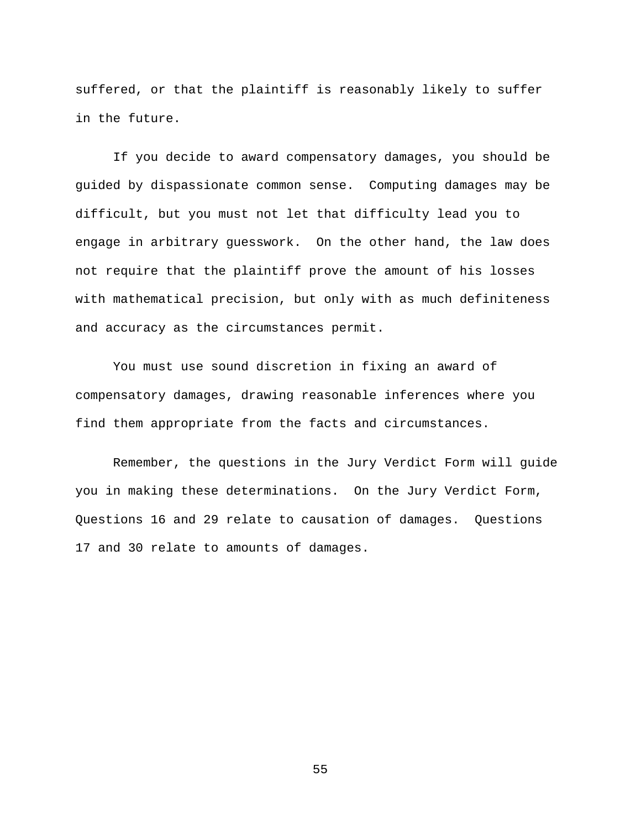suffered, or that the plaintiff is reasonably likely to suffer in the future.

If you decide to award compensatory damages, you should be guided by dispassionate common sense. Computing damages may be difficult, but you must not let that difficulty lead you to engage in arbitrary guesswork. On the other hand, the law does not require that the plaintiff prove the amount of his losses with mathematical precision, but only with as much definiteness and accuracy as the circumstances permit.

You must use sound discretion in fixing an award of compensatory damages, drawing reasonable inferences where you find them appropriate from the facts and circumstances.

Remember, the questions in the Jury Verdict Form will guide you in making these determinations. On the Jury Verdict Form, Questions 16 and 29 relate to causation of damages. Questions 17 and 30 relate to amounts of damages.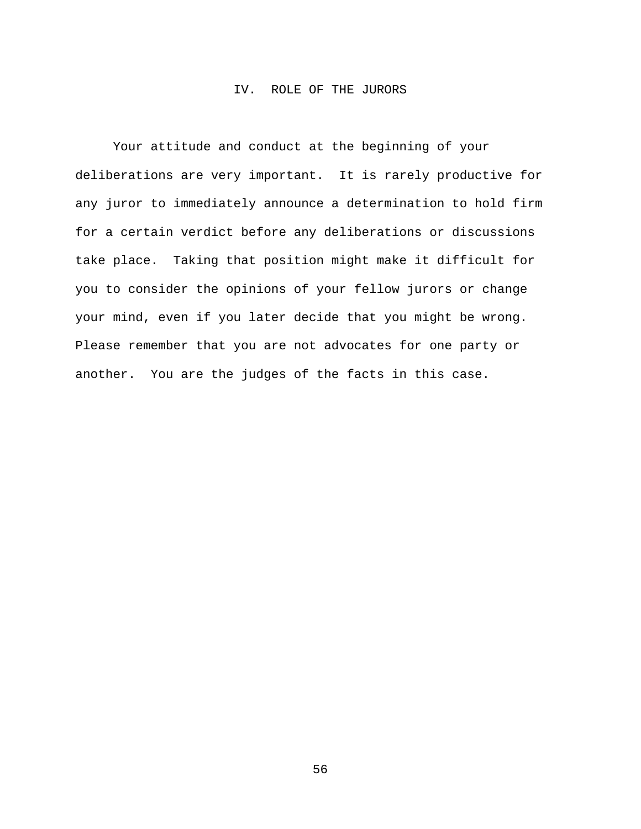### IV. ROLE OF THE JURORS

Your attitude and conduct at the beginning of your deliberations are very important. It is rarely productive for any juror to immediately announce a determination to hold firm for a certain verdict before any deliberations or discussions take place. Taking that position might make it difficult for you to consider the opinions of your fellow jurors or change your mind, even if you later decide that you might be wrong. Please remember that you are not advocates for one party or another. You are the judges of the facts in this case.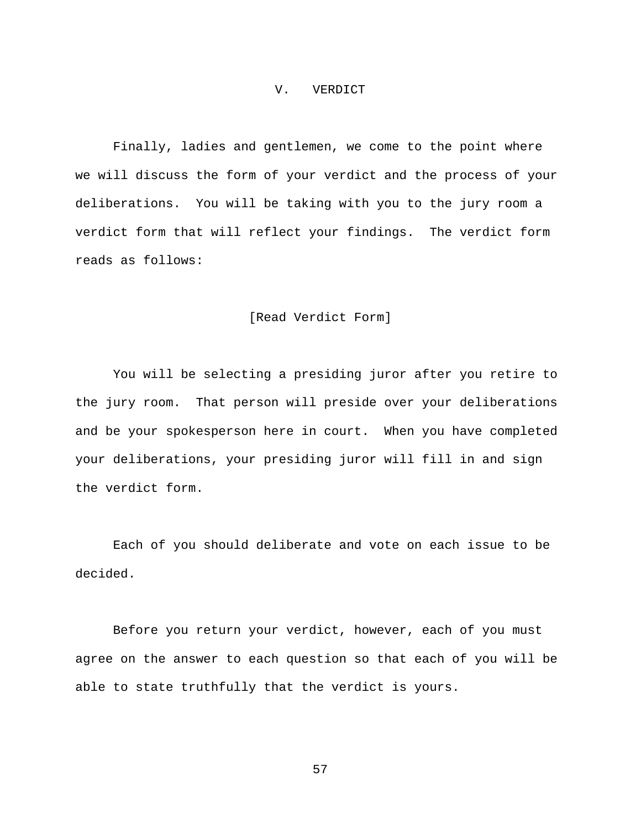#### V. VERDICT

Finally, ladies and gentlemen, we come to the point where we will discuss the form of your verdict and the process of your deliberations. You will be taking with you to the jury room a verdict form that will reflect your findings. The verdict form reads as follows:

# [Read Verdict Form]

You will be selecting a presiding juror after you retire to the jury room. That person will preside over your deliberations and be your spokesperson here in court. When you have completed your deliberations, your presiding juror will fill in and sign the verdict form.

Each of you should deliberate and vote on each issue to be decided.

Before you return your verdict, however, each of you must agree on the answer to each question so that each of you will be able to state truthfully that the verdict is yours.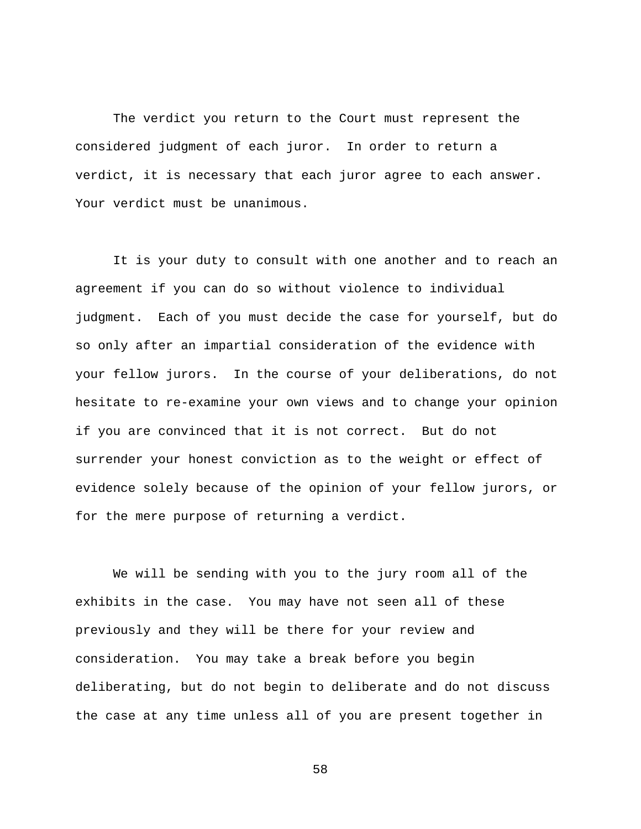The verdict you return to the Court must represent the considered judgment of each juror. In order to return a verdict, it is necessary that each juror agree to each answer. Your verdict must be unanimous.

It is your duty to consult with one another and to reach an agreement if you can do so without violence to individual judgment. Each of you must decide the case for yourself, but do so only after an impartial consideration of the evidence with your fellow jurors. In the course of your deliberations, do not hesitate to re-examine your own views and to change your opinion if you are convinced that it is not correct. But do not surrender your honest conviction as to the weight or effect of evidence solely because of the opinion of your fellow jurors, or for the mere purpose of returning a verdict.

We will be sending with you to the jury room all of the exhibits in the case. You may have not seen all of these previously and they will be there for your review and consideration. You may take a break before you begin deliberating, but do not begin to deliberate and do not discuss the case at any time unless all of you are present together in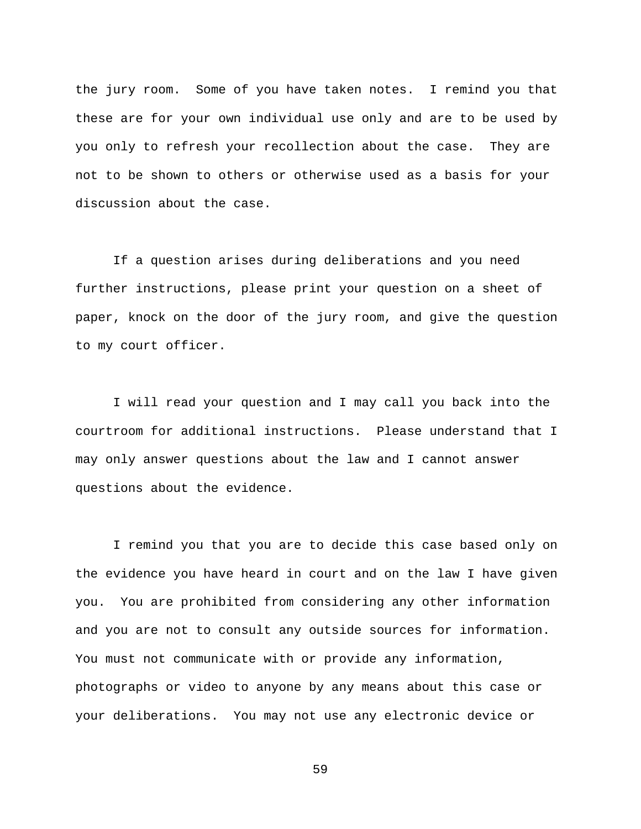the jury room. Some of you have taken notes. I remind you that these are for your own individual use only and are to be used by you only to refresh your recollection about the case. They are not to be shown to others or otherwise used as a basis for your discussion about the case.

If a question arises during deliberations and you need further instructions, please print your question on a sheet of paper, knock on the door of the jury room, and give the question to my court officer.

I will read your question and I may call you back into the courtroom for additional instructions. Please understand that I may only answer questions about the law and I cannot answer questions about the evidence.

I remind you that you are to decide this case based only on the evidence you have heard in court and on the law I have given you. You are prohibited from considering any other information and you are not to consult any outside sources for information. You must not communicate with or provide any information, photographs or video to anyone by any means about this case or your deliberations. You may not use any electronic device or